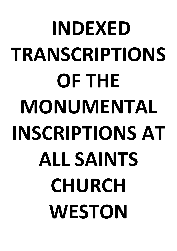# **INDEXED TRANSCRIPTIONS OF THE MONUMENTAL INSCRIPTIONS AT ALL SAINTS CHURCH WESTON**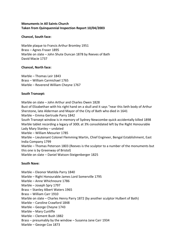## **Monuments in All Saints Church Taken from Quinquennial Inspection Report 10/04/2003**

## **Chancel, South face:**

Marble plaque to Francis Arthur Bromley 1951 Brass – Agnes Fraser 1895 Marble on slate – John Shute Duncan 1878 by Reeves of Bath David Macie 1737

## **Chancel, North face:**

Marble – Thomas Leir 1843 Brass – William Carmichael 1765 Marble – Reverend William Cheyne 1767

## **South Transept:**

Marble on slate – John Arthur and Charles Owen 1828 Bust of Elizabethan with his right hand on a skull and it says "near this lieth body of Arthur Sherstone, late Alderman and Mayor of the City of Bath who died in 1641 Marble – Emma Gertrude Parry 1842 South Transept window is in memory of Sydney Newcombe-quick accidentally killed 1898 Marble tablet recording a legacy of 300L at 3% consolidated left by the Right Honourable Lady Mary Stanley – undated Marble – William Mesurier 1785 Marble – Lieutenant Colonel Flemming Martin, Chief Engineer, Bengal Establishment, East India Company 1799 Marble – Thomas Peterson 1803 (Reeves is the sculptor to a number of the monuments but this one is by Greenway of Bristol) Marble on slate – Daniel Watson-Steigenberger 1825

## **South Nave:**

- Marble Eleonor Matilda Parry 1840
- Marble Right Honourable James Lord Somerville 1795
- Marble Anne Whichnoure 1786
- Marble Joseph Spry 1797
- Brass Stanley Albert Waters 1965
- Brass William Carr 1910
- Marble on slate Charles Henry Parry 1872 (by another sculptor Hulbert of Bath)
- Marble Caroline Crawford 1848
- Marble George Cheyne 1743
- Marble Mary Cunliffe
- Marble Clement Bush 1882
- Brass presumably by the window Susanna Jane Carr 1934
- Marble George Cox 1873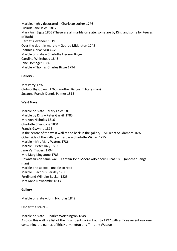Marble, highly decorated – Charlotte Luther 1776 Lucinda Jane Jekyll 1812 Mary Ann Bigge 1805 (These are all marble on slate, some are by King and some by Reeves of Bath) Harriet Alexander 1819 Over the door, in marble – George Middleton 1748 Joannis Clarke MDCCCV Marble on slate – Charlotte Eleonor Bigge Caroline Whitehead 1843 Jane Domager 1886 Marble – Thomas Charles Bigge 1794

## **Gallery -**

Mrs Parry 1792 Clotworthy Gowan 1763 (another Bengal military man) Susanna Francis Dennis Palmer 1815

## **West Nave:**

Marble on slate – Mary Eeles 1810 Marble by King – Peter Gaskill 1785 Mrs Ann Nicholas 1816 Charlotte Sherstone 1804 Francis Gwynne 1815 In the centre of the west wall at the back in the gallery – Millicent Scudamore 1692 Other side of the gallery – marble – Charlotte Wicker 1795 Marble – Mrs Mary Waters 1786 Marble – Peter Daly 1803 Jane Val Travers 1794 Mrs Mary Kingstone 1783 Downstairs on same wall – Captain John Moore Adolphous Lucas 1833 (another Bengal man) Marble one at top – unable to read Marble – Jacobus Berkley 1750 Ferdinand Wilhelm Becker 1825 Mrs Anne Newcombe 1833

## **Gallery –**

Marble on slate – John Nicholas 1842

## **Under the stairs –**

Marble on slate – Charles Worthington 1848 Also on this wall is a list of the incumbents going back to 1297 with a more recent oak one containing the names of Eric Normington and Timothy Watson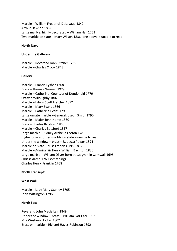Marble – William Frederick DeLavaud 1842 Arthur Dawson 1862 Large marble, highly decorated – William Hall 1753 Two marble on slate – Mary Wilson 1836, one above it unable to read

#### **North Nave:**

#### **Under the Gallery –**

Marble – Reverend John Ditcher 1735 Marble – Charles Crook 1843

#### **Gallery –**

Marble – Francis Fysher 1768 Brass – Thomas Norman 1929 Marble – Catherine, Countess of Dundonald 1779 Octavia Willoughby 1807 Marble – Edwin Scott Fletcher 1892 Marble – Mary Evans 1866 Marble – Catherine Evans 1793 Large ornate marble – General Joseph Smith 1790 Marble – Major John Home 1860 Brass – Charles Batsford 1860 Marble – Charles Batsford 1857 Large marble – Sidney Arabella Cotton 1781 Higher up – another marble on slate – unable to read Under the window – brass – Rebecca Power 1894 Marble on slate – Miss Francis Curtsi 1852 Marble – Admiral Sir Henry William Bayntun 1830 Large marble – William Oliver born at Ludgvan in Cornwall 1695 (This is dated 1760 something) Charles Henry Franklin 1768

## **North Transept:**

#### **West Wall –**

Marble – Lady Mary Stanley 1795 John Wittington 1796

#### **North Face –**

Reverend John Macie Leir 1849 Under the window – brass – William Ivor Carr 1903 Mrs Wesbury Hocker 1802 Brass on marble – Richard Hayes Robinson 1892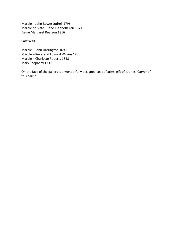Marble – John Bower Jodrell 1796 Marble on slate – Jane Elizabeth Leir 1871 Dame Margaret Pearson 1816

## **East Wall –**

Marble – John Harrington 1699 Marble – Reverend Edward Wilkins 1880 Marble – Charlotte Roberts 1848 Mary Shepherd 1737

On the face of the gallery is a wonderfully designed coat of arms, gift of J Jones, Carver of this parish.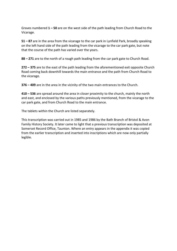Graves numbered **1 – 50** are on the west side of the path leading from Church Road to the Vicarage.

**51 – 87** are in the area from the vicarage to the car park in Lynfield Park, broadly speaking on the left hand side of the path leading from the vicarage to the car park gate, but note that the course of the path has varied over the years.

**88 – 271** are to the north of a rough path leading from the car park gate to Church Road.

**272 – 375** are to the east of the path leading from the aforementioned exit opposite Church Road coming back downhill towards the main entrance and the path from Church Road to the vicarage.

**376 – 409** are in the area in the vicinity of the two main entrances to the Church.

**410 – 536** are spread around the area in closer proximity to the church, mainly the north and east, and enclosed by the various paths previously mentioned, from the vicarage to the car park gate, and from Church Road to the main entrance.

The tablets within the Church are listed separately.

This transcription was carried out in 1985 and 1986 by the Bath Branch of Bristol & Avon Family History Society. It later came to light that a previous transcription was deposited at Somerset Record Office, Taunton. Where an entry appears in the appendix it was copied from the earlier transcription and inserted into inscriptions which are now only partially legible.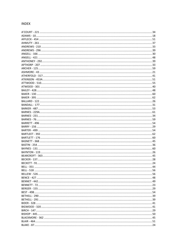#### **INDEX**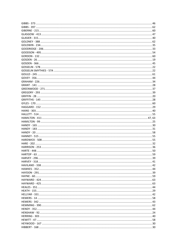| 59 |
|----|
|    |
|    |
|    |
|    |
|    |
|    |
|    |
|    |
|    |
|    |
|    |
|    |
|    |
|    |
|    |
|    |
|    |
|    |
|    |
|    |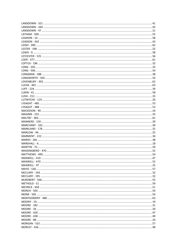| 54 |
|----|
|    |
|    |
|    |
|    |
|    |
|    |
|    |
|    |
|    |
|    |
|    |
|    |
|    |
|    |
|    |
|    |
|    |
|    |
|    |
|    |
|    |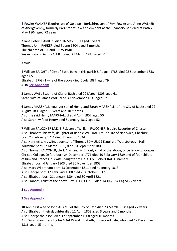**1** Fowler WALKER Esquire late of Goldwell, Berkshire, son of Rev. Fowler and Anne WALKER of Abergavenny, formerly Barrister at Law and eminent at the Chancery Bar, died at Bath 20 May 1804 aged 72 years.

**2** Jane Peters PARKER died 16 May 1801 aged 6 years Thomas John PARKER died 6 June 1804 aged 6 months The children of T.J. and E.P.W PARKER Susan Francis Denis PALMER died 27 March 1815 aged 31

**3** Void

**4** William BRIGHT of City of Bath, born in this parish 8 August 1788 died 28 September 1853 aged 65 Elizabeth BRIGHT wife of the above died 6 July 1887 aged 79 **Also [See Appendix](#page-59-0)**

**5** James WALL Esquire of City of Bath died 22 March 1803 aged 61 Sarah wife of James WALL died 30 November 1831 aged 87

**6** James MARSHALL, younger son of Henry and Sarah MARSHALL (of the City of Bath) died 22 August 1806 aged 11 years and 10 months Also the said Henry MARSHALL died 4 April 1807 aged 50 Also Sarah, wife of Henry died 5 January 1817 aged 52

**7** William FALCONER M.D, F.R.S, son of William FALCONER Esquire Recorder of Chester Also Elizabeth, his wife, daughter of Randle WILBRAHAM Esquire of Nantwich, Cheshire, born 23 February 1744 died 31 August 1824 Also Henrietta, his wife, daughter of Thomas EDMUNDS Esquire of Worsborough Hall, Yorkshire born 22 March 1739, died 10 September 1803 Also Thomas FALCONER, clerk A.M. and M.D., only child of the above, once fellow of Corpus Christie College, Oxford born 24 December 1771 died 19 February 1839 and of four children of him and Frances, his wife, daughter of Lieut. Col. Robert RAITT, namely Elizabeth born 4 January 1803 died 30 November 1803 Also Mary Wilbraham born 13 December 1811 died 4 January 1813 Also George born 12 February 1808 died 26 October 1817 Also Elizabeth born 21 January 1804 died 30 April 1821 Also Frances, relict of the above Rev. T. FALCONER died 14 July 1841 aged 72 years.

# **8 [See Appendix](#page-59-1)**

# **9 [See Appendix](#page-59-2)**

**10** Ann, first wife of John ADAMS of the City of Bath died 23 March 1808 aged 27 years Also Elizabeth, their daughter died 12 April 1808 aged 3 years and 6 months Also George their son, died 17 September 1808 aged 16 months Also Sarah daughter of John ADAMS and Elizabeth, his second wife, who died 12 December 1816 aged 15 months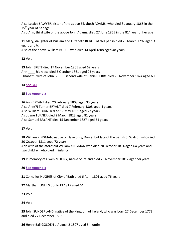Also Lettice SAWYER, sister of the above Elizabeth ADAMS, who died 3 January 1865 in the 75<sup>th</sup> year of her age Also Ann, third wife of the above John Adams, died 27 June 1865 in the  $81<sup>st</sup>$  year of her age

**11** Mary, daughter of William and Elizabeth BURGE of this parish died 25 March 1797 aged 3 years and ¾ Also of the above William BURGE who died 14 April 1808 aged 48 years

## **12** Void

**13** John BRETT died 17 November 1865 aged 62 years Ann \_\_\_\_ his niece died 3 October 1861 aged 23 years Elizabeth, wife of John BRETT, second wife of Daniel PERRY died 25 November 1874 aged 60

## **14 [See 342](#page-43-0)**

## **15 [See Appendix](#page-59-3)**

**16** Ann BRYANT died 20 February 1808 aged 33 years Also Ann(?) Turner BRYANT died 7 February 1808 aged 4 years Also William TURNER died 17 May 1811 aged 73 years Also Jane TURNER died 2 March 1823 aged 81 years Also Samuel BRYANT died 15 December 1827 aged 51 years

## **17** Void

**18** William KINGMAN, native of Haselbury, Dorset but late of the parish of Walcot, who died 30 October 1811 aged 72 years Ann wife of the aforesaid William KINGMAN who died 20 October 1814 aged 64 years and two children who died in infancy

**19** In memory of Owen MOONY, native of Ireland died 23 November 1812 aged 58 years

## **20 [See Appendix](#page-59-4)**

**21** Cornelius HUGHES of City of Bath died 6 April 1801 aged 76 years

**22** Martha HUGHES d July 13 1817 aged 64

**23** Void

**24** Void

**25** John SUNDERLAND, native of the Kingdom of Ireland, who was born 27 December 1772 and died 27 December 1802

**26** Henry Ball GOSDEN d August 2 1807 aged 5 months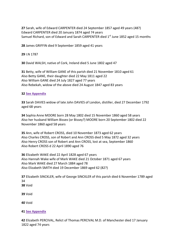**27** Sarah, wife of Edward CARPENTER died 24 September 1857 aged 49 years (48?) Edward CARPENTER died 20 January 1874 aged 74 years Samuel Richard, son of Edward and Sarah CARPENTER died  $1<sup>st</sup>$  June 1852 aged 15 months

**28** James GRIFFIN died 9 September 1859 aged 41 years

**29** I.N 1787

**30** David WALSH, native of Cork, Ireland died 5 June 1802 aged 47

**31** Betty, wife of William GANE of this parish died 21 November 1810 aged 61 Also Betty GANE, their daughter died 22 May 1811 aged 22 Also William GANE died 24 July 1827 aged 77 years Also Rebekah, widow of the above died 24 August 1847 aged 83 years

## **32 [See Appendix](#page-59-5)**

**33** Sarah DAVIES widow of late John DAVIES of London, distiller, died 27 December 1792 aged 68 years

**34** Sophia Anne MOORE born 28 May 1802 died 15 November 1860 aged 58 years Also her husband William Bissex (or Bissey?) MOORE born 20 September 1802 died 22 November 1860 aged 58 years

**35** Ann, wife of Robert CROSS, died 10 November 1873 aged 62 years Also Charles CROSS, son of Robert and Ann CROSS died 5 May 1872 aged 32 years Also Henry CROSS son of Robert and Ann CROSS, lost at sea, September 1860 Also Robert CROSS d 22 April 1890 aged 76

**36** Elizabeth WAKE died 22 April 1828 aged 67 years Also Hannah Wake wife of Mark WAKE died 21 October 1871 aged 67 years Also Mark WAKE died 27 March 1884 aged 78 Also Elizabeth SMITH died 19 December 1869 aged 62 (82?)

**37** Elizabeth SINCKLER, wife of George SINCKLER of this parish died 6 November 1789 aged 34 **38** Void

**39** Void

**40** Void

## **41 [See Appendix](#page-59-6)**

**42** Elizabeth PERCIVAL, Relict of Thomas PERCIVAL M.D. of Manchester died 17 January 1822 aged 74 years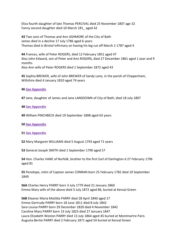Eliza fourth daughter of late Thomas PERCIVAL died 25 November 1807 age 32 Fanny second daughter died 10 March 181\_ aged 42

**43** Two sons of Thomas and Ann ASHMORE of the City of Bath James died in a decline 17 July 1786 aged 6 years Thomas died in Bristol Infirmary on having his leg cut off March 2 1787 aged 4

**44** Frances, wife of Peter ROGERS, died 12 February 1851 aged 47 Also John Edward, son of Peter and Ann ROGERS, died 27 December 1861 aged 1 year and 9 months Also Ann wife of Peter ROGERS died 1 September 1872 aged 43

**45** Sophia BREWER, wife of John BREWER of Sandy Lane, in the parish of Chippenham, Wiltshire died 4 January 1810 aged 74 years

## **46 [See Appendix](#page-59-7)**

**47** Jane, daughter of James and Jane LANSDOWN of City of Bath, died 18 July 1807

#### **48 [See Appendix](#page-59-8)**

**49** William PINCHBECK died 19 September 1808 aged 63 years

#### **50 [See Appendix](#page-59-9)**

**51 [See Appendix](#page-59-10)**

**52** Mary Margaret WILLIAMS died 5 August 1793 aged 71 years

**53** General Joseph SMITH died 1 September 1790 aged 57

**54** Hon. Charles VANE of Norfolk, brother to the first Earl of Darlington d 27 February 1796 aged 81

**55** Penelope, relict of Captain James CONRAN born 25 February 1782 died 10 September 1849

**56A** Charles Henry PARRY born 3 July 1779 died 21 January 1860 Emma Mary wife of the above died 3 July 1872 aged 86, buried at Kensal Green

**56B** Eleanor Maria Matilda PARRY died 28 April 1840 aged 17 Emma Gertrude PARRY born 18 June 1811 died 8 July 1842 Sara Louisa PARRY born 29 December 1820 died 4 November 1842 Caroline Mary PARRY born 13 July 1825 died 27 January 1847 Laura Elizabeth Weston PARRY died 13 July 1864 aged 45 buried at Montmartre Paris Augusta Bertie PARRY died 2 February 1871 aged 54 buried at Kensal Green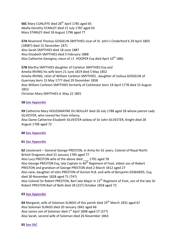<span id="page-22-0"></span>56C Mary CUNLIFFE died 28<sup>th</sup> April 1785 aged 65 Abella Dorothy STANLEY died 21 July 1787 aged 65 Mary STANLEY died 18 August 1796 aged 77

**57A** Reverend Thomas GOSSELIN SMYTHIES vicar of St. John's Cinderford b 29 April 1803 (1808?) died 15 December 1871 Also Sarah SMYTHIES died 18 June 1887 Also Elizabeth SMYTHIES died 5 February 1888 Also Catherine Georgina, niece of J.F. HOOPER Esq died April 10<sup>th</sup> 1881

**57B** Martha SMYTHIES daughter of Carleton SMYTHIES Esq and Amelia IRVING his wife born 21 June 1819 died 5 May 1852 Amelia IRVING, relict of William Carleton SMYTHIES , daughter of Joshua GOSSELIN of Guernsey born 15 May 1777 died 29 December 1858 Also William Carleton SMYTHIES formerly of Colchester born 18 April 1778 died 15 August 1853 Christian Mary SMYTHIES d. May 22 1891

## **58 [See Appendix](#page-59-11)**

**59** Catherine Mary HOUSSMAYNE DU BOULAY died 26 July 1788 aged 28 whose patron Lady SILVESTER, who reared her from infancy.

Also Dame Catherine Elizabeth SILVESTER widow of Sir John SILVESTER, Knight died 28 August 1796 aged 72

## **60 [See Appendix](#page-59-12)**

## **61 [See Appendix](#page-60-0)**

**62** Lieutenant – General George PRESTON, in Army for 61 years, Colonel of Royal North British Dragoons died 31 January 1785 aged 77 Also Lucy PRESTON wife of the above died \_\_\_ 1791 aged 78 Also George PRESTON Esq, late Captain in  $40^{th}$  Regiment of Foot, eldest son of Robert PRESTON and grandson of George PRESTON died 2 March 1812 aged 27 Also Jane, daughter of John PRESTON of Gorton N.B. and wife of Benjamin EDWARDS, Esq, died 30 November 1828 aged 71 (74?) Also Colonel Sir Robert PRESTON, Bart late Major in 13<sup>th</sup> Regiment of Foot, son of the late Sir Robert PRESTON Bart of Bath died 28 (23?) October 1858 aged 72

## **63 [See Appendix](#page-60-1)**

**64** Margaret, wife of Soloman SLINGO of this parish died 19<sup>th</sup> March 1831 aged 67 Also Soloman SLINGO died 20 January 1841 aged 66 Also James son of Soloman died  $1<sup>st</sup>$  April 1848 aged 57 (37?) Also Sarah, second wife of Soloman died 26 November 1863

## **65 [See 56C](#page-22-0)**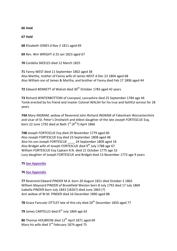**66 Void**

**67 Void**

**68** Elizabeth JONES d Nov 2 1811 aged 69

**69** Rev. Wm WRIGHT d 25 Jan 1823 aged 67

**70** Cordelia SKEELES died 12 March 1825

**71** Fanny WEST died 11 September 1802 aged 38 Also Martha, mother of Fanny wife of James WEST d Dec 23 1804 aged 68 Also William son of James & Martha, and brother of Fanny died Feb 17 1806 aged 44

**72** Edward BENNETT of Walcot died 30<sup>th</sup> October 1783 aged 42 years

**73** Richard WINTERBOTTOM of Liverpool, Lancashire died 25 September 1784 age 44 Tomb erected by his friend and master Colonel WALSH for his true and faithful service for 28 years

**74A** Mary INGRAM, widow of Reverend John Richard INGRAM of Fakenham Worcestershire and vicar of St. Peter's Droitwich and eldest daughter of the late Joseph FORTESCUE Esq, born 22 June 1792 died at Bath  $1^{st}$  (4<sup>th</sup>?) April 1866

**74B** Joseph FORTESCUE Esq died 29 November 1779 aged 60 Also Joseph FORTESCUE Esq died 23 September 1808 aged 48 Also his son Joseph FORTESCUE \_\_\_\_ 24 September 1809 aged 18 Also Bridget wife of Joseph FORTESCUE died  $9<sup>th</sup>$  July 1788 age 67 William FORTESCUE Esq Captain R.N. died 21 October 1775 age 52 Lucy daughter of Joseph FORTESCUE and Bridget died 13 November 1773 age 9 years

## **75 [See Appendix](#page-60-2)**

## **76 [See Appendix](#page-60-3)**

**77** Reverend Edward PINDER M.A. born 20 August 1821 died October 2 1865 William Maynard PINDER of Brookfield Weston born 8 July 1792 died 17 July 1869 Isabella PINDER born July 1843 (1826?) died June 1863 (?) Ann widow of W.M. PINDER died 16 December 1890 aged 88

**78** Grace Fancuier OTTLEY late of this city died 20<sup>th</sup> December 1850 aged 77

**79** James CANTELLO died 6<sup>th</sup> July 1804 age 63

80 Thomas HOLBROW died 12<sup>th</sup> April 1871 aged 69 Mary his wife died  $3<sup>rd</sup>$  February 1874 aged 75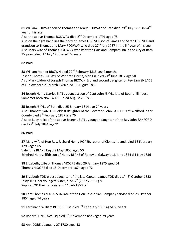81 William RODWAY son of Thomas and Mary RODWAY of Bath died 29<sup>th</sup> July 1789 in 24<sup>th</sup> year of his age Also the above Thomas RODWAY died 2<sup>nd</sup> December 1791 aged 75 Also on the right hand lies the body of James OGILVEE son of James and Sarah OGILVEE and grandson to Thomas and Mary RODWAY who died 27<sup>th</sup> July 1787 in the 5<sup>th</sup> year of his age Also Mary wife of Thomas RODWAY who kept the Hart and Compass Inn in the City of Bath 35 years, died 17 July 1806 aged 72 years

# **82 Void**

83 William Monier BROWN died 22<sup>nd</sup> February 1813 age 4 months Joseph Thomas BROWN of Winifred House, Sion Hill died 21<sup>st</sup> June 1817 age 50 Also Mary widow of Joseph Thomas BROWN Esq and second daughter of Rev Sam SNEADE of Ludlow born 21 March 1780 died 11 August 1858

**84** Joseph Henry Storie JEKYLL youngest son of Capt John JEKYLL late of Roundhill house, Somerset born Nov 14 1811 died August 20 1860

**85** Joseph JEKYLL of Bath died 25 January 1814 age 74 years Also Elizabeth SANFORD eldest daughter of the Reverend John SANFORD of Wallford in this County died  $8<sup>th</sup>$  February 1827 age 76 Also of Lucy relict of the above Joseph JEKYLL younger daughter of the Rev John SANFORD died  $27<sup>th</sup>$  July 1844 age 91

## **86 Void**

**87** Mary wife of Hon Rev. Richard Henry ROPER, rector of Clones Ireland, died 16 February 1795 aged 65 Valentine BLAKE Esq d 9 May 1800 aged 50

Ethelred Henry, fifth son of Henry BLAKE of Renoyle, Galway b 13 Jany 1824 d 1 Nov 1836

**88** Elizabeth, wife of Thomas MOORE died 26 January 1875 aged 64 Thomas MOORE died 15 December 1874 aged 72

89 Elizabeth TOD eldest daughter of the late Captain James TOD died 1<sup>st</sup> (?) October 1852 Jessy TOD, her youngest sister, died  $3^{rd}$  (?) Nov 1861 (?) Sophia TOD their only sister d 11 Feb 1853 (?)

**90** Capt Thomas MACKESON late of the Hon East Indian Company service died 28 October 1854 aged 74 years

**91** Ferdinand William BECKETT Esg died 9<sup>th</sup> February 1853 aged 55 years

**92** Robert HENSHAW Esq died 6<sup>th</sup> November 1826 aged 79 years

**93** Ann DORE d January 27 1780 aged 13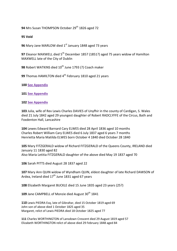**94** Mrs Susan THOMPSON October 29<sup>th</sup> 1826 aged 72

## **95 Void**

**96** Mary Jane MARLOW died 1<sup>st</sup> January 1848 aged 73 years

**97** Eleanor MAXWELL died 5<sup>th</sup> December 1857 (1851?) aged 75 years widow of Hamilton MAXWELL late of the City of Dublin

98 Robert WATKINS died 10<sup>th</sup> June 1793 (?) Coach maker

**99** Thomas HAMILTON died 4<sup>th</sup> February 1810 aged 21 years

**100 [See Appendix](#page-60-4)**

**101 [See Appendix](#page-60-5)**

#### **102 [See Appendix](#page-60-6)**

**103** Julia, wife of Rev Lewis Charles DAVIES of Unyfhir in the county of Cardigan, S. Wales died 21 July 1842 aged 29 youngest daughter of Robert RADCLYFFE of the Circus, Bath and Foxdenton Hall, Lancashire

**104** Lewes Edward Barnard Cary ELWES died 28 April 1836 aged 10 months Charles Robert William Cary ELWES died 6 July 1837 aged 6 years 7 months Henrietta Maria Matilda ELWES born October 4 1840 died October 28 1840

**105** Mary FITZGERALD widow of Richard FITZGERALD of the Queens County, IRELAND died January 11 1830 aged 82 Also Maria Letitia FITZGERALD daughter of the above died May 19 1837 aged 70

**106** Sarah PITTS died August 28 1837 aged 22

**107** Mary Ann QUIN widow of Wyndham QUIN, eldest daughter of late Richard DAWSON of Ardea, Ireland died  $17<sup>th</sup>$  June 1831 aged 67 years

**108** Elizabeth Margaret BUCKLE died 15 June 1835 aged 23 years (25?)

**109** Jane CAMPBELL of Monzie died August 30<sup>th</sup> 1841

**110** Lewis PIEDRA Esq, late of Gibraltar, died 15 October 1819 aged 69 John son of above died 1 October 1825 aged 35 Margaret, relict of Lewis PIEDRA died 18 October 1825 aged 77

**111** Charles WORTHINGTON of Lansdown Crescent died 29 August 1819 aged 57 Elizabeth WORTHINGTON relict of above died 29 February 1848 aged 84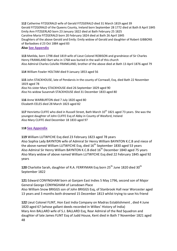**112** Catherine FITZGERALD wife of Gerald FITZGERALD died 31 March 1819 aged 39 Gerald FITZGERALD of the Queens County, Ireland born September 28 1772 died at Bath 8 April 1845 Emily Ann FITZGERLAD born 23 January 1822 died at Bath February 25 1825 Caroline Maria FITZGERALD born 20 February 1824 died at Bath 26 April 1845 Daughters of the above Gerald and Emily: Emily widow of Gerald and daughter of Robert GIBBONS of Barbadoes d 23 Oct 1884 aged 83

## **Also [See Appendix](#page-60-7)**

**113** Matilda, born 1798 died 1819 wife of Lieut Colonel ROBISON and grandniece of Sir Charles Henry FRANKLAND Bart who in 1768 was buried in the wall of this church Also Admiral Charles Colville FRANKLAND, brother of the above died at Bath 13 April 1876 aged 79

**114** William Fowler HOLTAM died 9 January 1853 aged 56

**115** John STACKHOUSE, late of Pendarvis in the county of Cornwall, Esq, died Bath 22 November 1819 aged 78 Also his sister Mary STACKHOUSE died 26 September 1829 aged 90 Also his widow Susannah STACKHOUSE died 31 December 1833 aged 80

**116** Anne WARBURTON died 7 July 1820 aged 80 Elizabeth EELES died 28 March 1823 aged 82

117 Henrietta CLIFFE who died in Russell Street, Bath March 10<sup>th</sup> 1821 aged 73 years. She was the youngest daughter of John CLIFFE Esq of Abby in County of Wexford, Ireland Also Mary CLIFFE died December 18 1833 aged 97

## **118 [See Appendix](#page-60-8)**

**119** William LUTWYCHE Esq died 23 February 1823 aged 78 years Also Sophia Lady BAYNTON wife of Admiral Sir Henry William BAYNTON K.C.B and niece of the above named William LUTWYCHE Esq, died 16<sup>th</sup> September 1830 aged 53 years Also Admiral Sir Henry William BAYNTON K.C.B died 16<sup>th</sup> December 1840 aged 75 years Also Mary widow of above named William LUTWYCHE Esq died 22 February 1845 aged 92 years

120 Charlotte Sarah, daughter of R.A. FERRYMAN Esq born 25<sup>th</sup> June 1820 died 30<sup>th</sup> September 1822

**121** Edward CONYNGHAM born at Ganjam East Indies 5 May 1796, second son of Major General George CONYNGHAM of Lansdown Place

Also William Snow BRIGGS son of John BRIGGS Esq, of Stanbrook Hall near Worcester aged 13 years and 3 months both drowned 15 December 1813 whilst trying to save his friend

**122** Lieut Colonel FLINT, Hon East India Company on Madras Establishment , died 4 June 1820 aged 67 (whose gallant deeds recorded in Wilkes' History of India) Mary Ann BALLARD wife of S.J. BALLARD Esq, Rear Admiral of the Red Squadron and daughter of late James FLINT Esq of Judd House, Kent died in Bath 7 November 1821 aged 48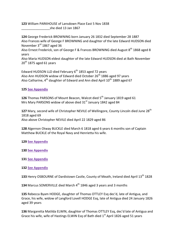**123** William PARKHOUSE of Lansdown Place East 5 Nov 1838 she died 13 Jan 1867

**124** George Frederick BROWNING born January 26 1832 died September 28 1887 Also Frances wife of George F BROWNING and daughter of the late Edward HUDSON died November 3<sup>rd</sup> 1867 aged 36

Also Ernest Frederick, son of George F & Frances BROWNING died August 8<sup>th</sup> 1868 aged 8 years

Also Maria HUDSON eldest daughter of the late Edward HUDSON died at Bath November  $20<sup>th</sup>$  1875 aged 61 years

Edward HUDSON LLD died February  $6<sup>th</sup>$  1853 aged 72 years Also Ann HUDSON widow of Edward died October  $26<sup>th</sup>$  1886 aged 97 years Also Catharine,  $4^{th}$  daughter of Edward and Ann died April  $10^{th}$  1889 aged 67

## **125 [See Appendix](#page-60-9)**

**126** Thomas PARSONS of Mount Beacon, Walcot died 5<sup>th</sup> January 1819 aged 61 Mrs Mary PARSONS widow of above died 31<sup>st</sup> January 1842 aged 84

127 Mary, second wife of Christopher NEVILE of Wellingore, County Lincoln died June 28<sup>th</sup> 1818 aged 69 Also above Christopher NEVILE died April 22 1829 aged 86

**128** Algernon Otway BUCKLE died March 6 1818 aged 6 years 6 months son of Captain Matthew BUCKLE of the Royal Navy and Henrietta his wife.

## **129 [See Appendix](#page-60-10)**

**130 [See Appendix](#page-60-11)**

## **131 [See Appendix](#page-60-12)**

## **132 [See Appendix](#page-60-13)**

133 Henry OSBOURNE of Dardistown Castle, County of Meath, Ireland died April 13<sup>th</sup> 1828

**134** Marcus SOMERVILLE died March 4<sup>th</sup> 1846 aged 3 years and 3 months

**135** Rebecca Byam HODGE, daughter of Thomas OTTLEY Esq dec'd, late of Antigua, and Grace, his wife, widow of Langford Lovell HODGE Esq, late of Antigua died 24 January 1826 aged 39 years

**136** Margaretta Matilda ELWIN, daughter of Thomas OTTLEY Esq, dec'd late of Antigua and Grace his wife, wife of Hastings ELWIN Esq of Bath died 1<sup>st</sup> April 1826 aged 51 years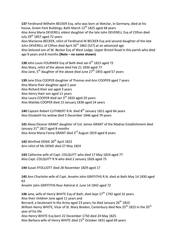**137** Ferdinand Wilhelm BECKER Esq. who was born at Wetzlar, in Germany, died at his house, Green Park Buildings, Bath March 12<sup>th</sup> 1825 aged 68 years Also Anna Maria DEVERELL eldest daughter of the late John DEVERELL Esg of Clifton died July  $29<sup>th</sup>$  1857 aged 72 years Also Marianne BECKER, relict of Ferdinand W BECKER Esq and second daughter of the late John DEVERELL of Clifton died April  $26<sup>th</sup>$  1862 (52?) at an advanced age Also beloved son of W. Becker Esq of West Lodge, Upper Bristol Road in this parish who died age 9 years and 8 months **(Note – no name shown)**

138 John Louis FOURNIER Esq of Bath died Jan 6<sup>th</sup> 1822 aged 72 Also Mary, relict of the above died Feb 21 1836 aged 77 Also Jane,  $5^{th}$  daughter of the above died June  $27^{th}$  1855 aged 57 years

**139** Jane Eliza COOPER daughter of Thomas and Ann COOPER aged 7 years Also Maria their daughter aged 1 year Also Richard their son aged 3 years Also Henry their son aged 11 years Also Laura COOPER died Jan 3<sup>rd</sup> 1833 aged 20 years Also Matilda COOPER died 15 January 1836 aged 24 years

**140** Captain Robert CUTHBERT R.N. died 8<sup>th</sup> January 1821 aged 66 years Also Elizabeth his widow died 5 December 1846 aged 79 years

**141** Alexa Eleanor GRANT daughter of Col. James GRANT of the Madras Establishment died January  $21^{st}$  1817 aged 8 months Also Anna Maria Fanny GRANT died 3<sup>rd</sup> August 1819 aged 8 years

142 Winifred DENIE 30<sup>th</sup> April 1822 Ann relict of Ms DENIE died 27 May 1824

**143** Catherine wife of Capt. COLQUITT who died 17 May 1824 aged 77 Also Capt. COLQUITT R N who died 2 January 1826 aged 75

**144** Susan FFOLLIOTT died 28 November 1829 aged 17

**145** Ann Charlotte wife of Capt. Anselm John GRIFFITHS R.N. died at Bath May 14 1830 aged 63 Anselm John GRIFFITHS Rear Admiral d. June 14 1842 aged 72

**146** Jane, wife of Henry WHITE Esg of Bath, died Sept 27<sup>th</sup> 1792 aged 32 years. Also their children Jane aged 11 years and Bernard, a lieutenant in the Army aged 23 years, he died January  $26<sup>th</sup> 1810$ William Henry WHITE, Vicar of St. Mary Bredon, Canterbury died Nov 25<sup>th</sup> 1825 in the 35<sup>th</sup> year of his life Also Henry WHITE Esq born 22 December 1750 died 24 May 1825 Also Barbara wife of Henry WHITE died  $15<sup>th</sup>$  October 1831 aged 69 years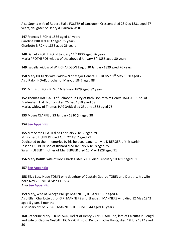Also Sophia wife of Robert Blake FOSTER of Lansdown Crescent died 23 Dec 1831 aged 27 years, daughter of Henry & Barbara WHITE

**147** Frances BIRCH d 1836 aged 64 years Caroline BIRCH d 1837 aged 35 years Charlotte BIRCH d 1833 aged 26 years

148 Daniel PROTHEROE d January 11<sup>th</sup> 1830 aged 56 years Maria PROTHEROE widow of the above d January 3<sup>rd</sup> 1855 aged 80 years

**149** Isabella widow of W RICHARDSON Esq, d 30 January 1829 aged 76 years

**150** Mary DICKENS wife (widow?) of Major General DICKENS d 1<sup>st</sup> May 1830 aged 78 Also Ralph HOAR, brother of Mary, d 1847 aged 88

**151** Mr Elizth ROBERTS d 16 January 1829 aged 82 years

**152** Thomas HAGGARD of Belmont, in City of Bath, son of Wm Henry HAGGARD Esq. of Bradenham Hall, Norfolk died 26 Dec 1858 aged 68 Maria, widow of Thomas HAGGARD died 23 June 1862 aged 75

**153** Moses CLARKE d 23 January 1810 (?) aged 38

## **154 [See Appendix](#page-61-0)**

**155** Mrs Sarah HEATH died February 2 1817 aged 29 Mr Richard HULBERT died April 22 1817 aged 79 Dedicated to their memories by his beloved daughter Mrs D BERGER of this parish Joseph HULBERT son of Richard died January 6 1818 aged 35 Sarah HULBERT mother of Mrs BERGER died 10 May 1828 aged 91

**156** Mary BARRY wife of Rev. Charles BARRY LLD died February 10 1817 aged 51

**157 [See Appendix](#page-61-1)**

**158** Eliza Lucy Hope TOBIN only daughter of Captain George TOBIN and Dorothy, his wife born Nov 25 1810 d Mar 11 1834 **Also [See Appendix](#page-61-2)**

**159** Mary, wife of George Phillips MANNERS, d 9 April 1832 aged 43 Also Ellen Charlotte dtr of G.P. MANNERS and Elizabeth MANNERS who died 12 May 1842 aged 5 years 4 months Also Mary dtr of G P & E MANNERS d 8 June 1844 aged 10 years

**160** Catherine Mary THOMPSON, Relict of Henry VANSITTART Esq, late of Calcutta in Bengal and wife of George Nesbitt THOMPSON Esq of Penton Lodge Hants, died 18 July 1817 aged 50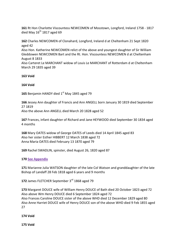**161** Rt Hon Charlotte Viscountess NEWCOMEN of Mosstown, Longford, Ireland 1758 - 1817 died May  $16^{\text{th}}$  1817 aged 69

**162** Charles NEWCOMEN of Clonahard, Longford, Ireland d at Cheltenham 21 Sept 1820 aged 42

Also Hon. Katherine NEWCOMEN relict of the above and youngest daughter of Sir William Gleddowen NEWCOMEN Bart and the Rt. Hon. Viscountess NEWCOMEN d at Cheltenham August 8 1833

Also Carteret Le MARCHANT widow of Louis Le MARCHANT of Rotterdam d at Cheltenham March 29 1835 aged 39

## **163 Void**

# **164 Void**

**165** Benjamin HANDY died 1<sup>st</sup> May 1845 aged 79

**166** Jessey Ann daughter of Francis and Ann ANGELL born January 30 1819 died September 27 1819 Also the above Ann ANGELL died March 20 1828 aged 52

**167** Frances, infant daughter of Richard and Jane HEYWOOD died September 30 1834 aged 4 months

**168** Mary OATES widow of George OATES of Leeds died 14 April 1845 aged 83 Also her sister Esther HIBBERT 12 March 1838 aged 72 Anna Maria OATES died February 13 1870 aged 79

**169** Rachel SWADLIN, spinster, died August 26, 1820 aged 87

## **170 [See Appendix](#page-61-3)**

**171** Marianne Julia WATSON daughter of the late Col Watson and granddaughter of the late Bishop of Landaff 28 Feb 1818 aged 6 years and 9 months

**172** James FLETCHER September 3rd 1868 aged 79

**173** Margaret DOUCE wife of William Henry DOUCE of Bath died 20 October 1823 aged 72 Also above Wm Henry DOUCE died 6 September 1824 aged 72 Also Frances Caroline DOUCE sister of the above WHD died 12 December 1829 aged 80 Also Anne Harriet DOUCE wife of Henry DOUCE son of the above WHD died 9 Feb 1855 aged 27

## **174 Void**

**175 Void**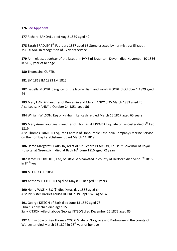#### **176 [See Appendix](#page-61-4)**

**177** Richard BANDALL died Aug 2 1839 aged 42

178 Sarah BRADLEY 5<sup>th</sup> February 1837 aged 68 Stone erected by her mistress Elizabeth MARKLAND in recognition of 37 years service

**179** Ann, eldest daughter of the late John PYKE of Braunton, Devon, died November 10 1836 in 51(?) year of her age

**180** Thomasina CURTIS

**181** SM 1818 IM 1823 LM 1825

**182** Isabella MOORE daughter of the late William and Sarah MOORE d October 1 1829 aged 44

**183** Mary HANDY daughter of Benjamin and Mary HANDY d 25 March 1833 aged 25 Also Louisa HANDY d October 24 1851 aged 56

**184** William WILSON, Esq of Kirkham, Lancashire died March 15 1817 aged 65 years

185 Mary Anne, youngest daughter of Thomas SHEPPARD Esq, late of Lancaster died 7<sup>th</sup> Feb 1819

Also Thomas SKINNER Esq, late Captain of Honourable East India Companys Marine Service on the Bombay Establishment died March 14 1819

**186** Dame Margaret PEARSON, relict of Sir Richard PEARSON, Kt, Lieut Governor of Royal Hospital at Greenwich, died at Bath  $16<sup>th</sup>$  June 1816 aged 72 years

187 James BOURCHIER, Esq, of Little Berkhamsted in county of Hertford died Sept 5<sup>th</sup> 1816 in  $84<sup>th</sup>$  year

**188** MH 1833 LH 1851

**189** Anthony FLETCHER Esq died May 8 1818 aged 66 years

**190** Henry WISE H.E.S (?) died Xmas day 1866 aged 64 Also his sister Harriet Louisa DUPRE d 19 Sept 1823 aged 32

**191** George KITSON of Bath died June 13 1859 aged 78 Eliza his only child died aged 15 Sally KITSON wife of above George KITSON died December 26 1872 aged 85

**192** Ann widow of Rev Thomas COOKES late of Norgrove and Barbourne in the county of Worcester died March 13 1824 in 78<sup>th</sup> year of her age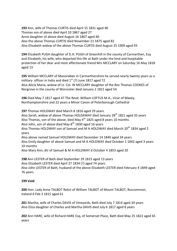**193** Ann, wife of Thomas CURTIS died April 15 1831 aged 40 Thomas son of above died April 10 1867 aged 27 Anne daughter of above died August 16 1867 aged 40 Also the above Thomas CURTIS died November 21 1875 aged 82 Also Elizabeth widow of the above Thomas CURTIS died August 25 1909 aged 93

**194** Elizabeth PUGH daughter of D.H. PUGH of Greenhill in the county of Carmarthen, Esq and Elizabeth, his wife, who departed this life at Bath under the kind and hospitable protection of her dear and most affectionate friend Mrs MCCLARY on Saturday 16 May 1818 aged 13

**195** William MCCLARY of Manorabier in Carmarthenshire he served nearly twenty years as a military officer in India and died  $1<sup>st</sup>$  (?) June 1817 aged 72 Also Alicia Maria, widow of Lt. Col. W MCCLARY daughter of the Rev Thomas COOKES of Norgrove in the county of Worcester died January 2 1821 aged 54

**196** Died May 7 1817 aged 47 The Revd. William LOFTUS M.A., Vicar of Maxey, Northamptonshire and 22 years a Minor Canon of Peterborough Cathedral

**197** Thomas HOLDWAY died March 8 1816 aged 29 years Also Sarah, widow of above Thomas HOLDAWAY died January  $28<sup>th</sup> 1821$  aged 35 years

Also Thomas, son of the above, died May  $4<sup>th</sup>$  1825 aged 8 years 10 months

Also John, son of above died May  $8<sup>th</sup>$  1830 aged 16 years

Also Thomas HOLDWAY son of Samuel and M A HOLDWAY died March 20<sup>th</sup> 1834 aged 2 years

Also above named Samuel HOLDWAY died December 14 1840 aged 34 years Also Emily daughter of above Samuel and M A HOLDWAY died October 1 1842 aged 3 years 10 months

Also Mary Ann, dtr of Samuel & M A HOLDWAY d October 4 1853 aged 20

**198** Ann LESTER of Bath died September 29 1815 aged 13 years Also Elizabeth LESTER died April 27 1834 (?) aged 74 years Also John LESTER of Bath, husband of the above Elizabeth LESTER died February 4 1849 aged 76 years

# **199 Void**

**200** Hon. Lady Anne TALBOT Relict of William TALBOT of Mount TALBOT, Roscommon, Ireland d Feb 3 1815 aged 61

**201** Martha, wife of Charles DAVIS of Vineyards, Bath died July 7 1814 aged 34 years Also Eliza daughter of Charles and Martha DAVIS died July 6 1817 aged 8 years

**202** Ann HARE, wife of Richard HARE Esq, of Somerset Place, Bath died May 25 1822 aged 65 years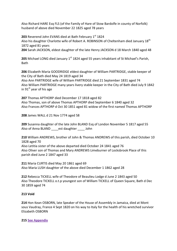Also Richard HARE Esq FLS (of the Family of Hare of Stow Bardolfe in county of Norfolk) husband of above died November 22 1825 aged 78 years

**203** Reverend John EVANS died at Bath February 1st 1824 Also his daughter Charlotte wife of Robert A. ROBINSON of Cheltenham died January  $18<sup>th</sup>$ 1872 aged 81 years

**204** Sarah JACKSON, eldest daughter of the late Henry JACKSON d 18 March 1840 aged 48

205 Michael LONG died January 1<sup>st</sup> 1824 aged 55 years inhabitant of St Michael's Parish, Bath

**206** Elizabeth Maria GOODRIDGE eldest daughter of William PARTRIDGE, stable keeper of the City of Bath died May 24 1819 aged 34 Also Ann PARTRIDGE wife of William PARTRIDGE died 21 September 1831 aged 74 Also William PARTRIDGE many years livery stable keeper in the City of Bath died July 9 1842 in  $91<sup>st</sup>$  year of his age

**207** Thomas APTHORP died December 17 1818 aged 82 Also Thomas, son of above Thomas APTHORP died September 6 1840 aged 32 Also Frances APTHORP d Oct 30 1851 aged 81 widow of the first named Thomas APTHORP

**208** James WALL d 21 Nov 1774 aged 58

**209** Susanna daughter of the late John BLAND Esq of London November 5 1817 aged 55 Also of Anna BLAND est daughter John

**210** William ANDREWS, brother of John & Thomas ANDREWS of this parish, died October 10 1828 aged 70 Also Letitia sister of the above departed died October 24 1841 aged 76 Also Oliver son of Thomas and Mary ANDREWS Limeburner of Locksbrook Place of this parish died June 2 1847 aged 33

**211** Maria CURTIS died May 20 1861 aged 69 Also Maria LUSH daughter of the above died December 1 1862 aged 28

**212** Rebecca TICKELL wife of Theodore of Beaulieu Lodge d June 2 1843 aged 50 Also Theodore TICKELL o.t.p youngest son of William TICKELL of Queen Square, Bath d Dec 30 1859 aged 74

## **213 Void**

**214** Hon Kean OSBORN, late Speaker of the House of Assembly in Jamaica, died at Mont sous Vaudray, France 4 Sept 1820 on his way to Italy for the health of his wretched survivor Elizabeth OSBORN

**215 [See Appendix](#page-61-5)**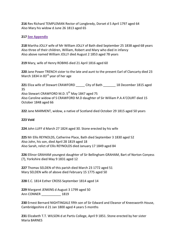**216** Rev Richard TEMPLEMAN Rector of Longbredy, Dorset d 5 April 1797 aged 64 Also Mary his widow d June 26 1813 aged 65

## **217 [See Appendix](#page-61-6)**

**218** Martha JOLLY wife of Mr William JOLLY of Bath died September 25 1838 aged 68 years Also three of their children, William, Robert and Mary who died in infancy Also above named William JOLLY died August 2 1853 aged 78 years

**219** Mary, wife of Henry ROBINS died 21 April 1816 aged 60

**220** Jane Power TRENCH sister to the late and aunt to the present Earl of Clancarty died 23 March 1834 in 83<sup>rd</sup> year of her age

**221** Eliza wife of Stewart CRAWFORD \_\_\_\_\_ City of Bath \_\_\_\_\_\_\_ 18 December 1815 aged 35 Also Stewart CRAWFORD M.D. 5<sup>th</sup> May 1847 aged 75 Also Caroline widow of S CRAWFORD M.D daughter of Sir William P.A A'COURT died 15 October 1848 aged 66

**222** Jane MARMENT, widow, a native of Scotland died October 29 1815 aged 50 years

## **223 Void**

**224** John LUFF d March 27 1824 aged 30. Stone erected by his wife

**225** Mr Ellis REYNOLDS, Catherine Place, Bath died September 3 1830 aged 52 Also John, his son, died April 28 1819 aged 18 Also Sarah, relict of Ellis REYNOLDS died January 17 1849 aged 84

**226** Ellinor GRAHAM youngest daughter of Sir Bellingham GRAHAM, Bart of Norton Conyess (?), Yorkshire died May 9 1831 aged 12

**227** Thomas SELDEN of this parish died March 23 1772 aged 51 Mary SELDEN wife of above died February 15 1775 aged 50

**228** E.C. 1814 Esther CROSS September 1814 aged 14

**229** Margaret JENKINS d August 3 1799 aged 50 Ann CONNER 1819

**230** Ernest Bernard NIGHTINGALE fifth son of Sir Edward and Eleanor of Kneesworth House, Cambridgeshire d 21 Jan 1800 aged 4 years 5 months

**231** Elizabeth T.T. WILSON d at Partis College, April 9 1851. Stone erected by her sister Maria BARNES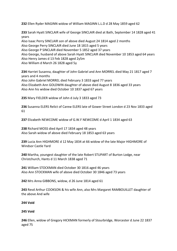**232** Ellen Ryder MAGINN widow of William MAGINN L.L.D d 28 May 1859 aged 62

**233** Sarah Hyatt SINCLAIR wife of George SINCLAIR died at Bath, September 14 1828 aged 41 years

Also Isaac Perry SINCLAIR son of above died August 24 1814 aged 2 months Also George Perry SINCLAIR died June 18 1815 aged 5 years Also George P SINCLAIR died November 5 1852 aged 37 years Also George, husband of above Sarah Hyatt SINCLAIR died November 10 1853 aged 64 years Also Henry James d 13 Feb 1828 aged 2y5m Also William d March 26 1828 aged 5y

**234** Harriet Susanna, daughter of John Gabriel and Ann MORREL died May 21 1817 aged 7 years and 4 months Also John Gabriel MORREL died February 3 1833 aged 77 years Also Elizabeth Ann GOLDWIN daughter of above died August 8 1836 aged 33 years Also Ann his widow died October 10 1837 aged 67 years

**235** Mary FIELDER widow of John d July 3 1833 aged 73

**236** Susanna ELERS Relict of Carew ELERS late of Gower Street London d 23 Nov 1833 aged 61

**237** Elizabeth NEWCOME widow of G.W.F NEWCOME d April 1 1834 aged 63

**238** Richard MOSS died April 17 1834 aged 48 years Also Sarah widow of above died February 18 1853 aged 63 years

**239** Lucia Ann HIGHMORE d 12 May 1834 at 66 widow of the late Major HIGHMORE of Windsor Castle Yard

**240** Martha, youngest daughter of the late Robert STUPART of Burton Lodge, near Christchurch, Hants d 11 March 1838 aged 71

**241** William STOCKMAN died October 30 1816 aged 46 years Also Ann STOCKMAN wife of above died October 30 1846 aged 73 years

**242** Mrs Anna GIBBONS, widow, d 26 June 1814 aged 61

**243** Revd Arthur COOKSON & his wife Ann, also Mrs Margaret RAMBOUILLET daughter of the above And wife

## **244 Void**

## **245 Void**

**246** Ellen, widow of Gregory HICKMAN formerly of Stourbridge, Worcester d June 22 1837 aged 75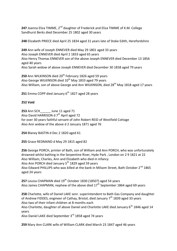247 Joanna Eliza TIMME, 2<sup>nd</sup> daughter of Frederick and Eliza TIMME of K.M. College Sandhurst Berks died December 25 1802 aged 30 years

**248** Elizabeth PRIECE died April 25 1834 aged 31 years late of Stoke Edith, Herefordshire

**249** Ann wife of Joseph ENNEVER died May 29 1801 aged 33 years Also Joseph ENNEVER died April 2 1833 aged 65 years Also Henry Thomas ENNEVER son of the above Joseph ENNEVER died December 13 1856 aged 40 years Also Sarah widow of above Joseph ENNEVER died December 30 1858 aged 79 years

250 Ann WILKINSON died 20<sup>th</sup> February 1826 aged 59 years Also George WILKINSON died 10<sup>th</sup> May 1833 aged 79 years Also William, son of above George and Ann WILKINSON, died 28<sup>th</sup> May 1818 aged 17 years

**251** Emma COPP died January 6<sup>th</sup> 1827 aged 28 years

## **252 Void**

**253** Ann SCH\_\_\_\_\_\_ June 11 aged 71 Also David HARRISON d 7<sup>th</sup> April aged 72 for over 30 years faithful servant of John Robert REID of Westfield Cottage Also Ann widow of the above d 2 January 1871 aged 76

**254** Blaney BASTIN d Dec 2 1820 aged 61

**255** Grace REDMAND d May 29 1815 aged 82

**256** George PORCH, printer of Bath, son of William and Ann PORCH, who was unfortunately drowned whilst bathing in the Serpentine River, Hyde Park , London on 2 9 1821 at 22 Also William, Charles, Ann and Elizabeth who died in infancy Also Ann PORCH died January 5<sup>th</sup> 1829 aged 59 years Also Edward PHILLIPS who was killed at the bank in Milsom Street, Bath October 2<sup>nd</sup> 1865 aged 24 years

**257** Louisa CHAPMAN died 19th October 1830 (1850?) aged 54 years Also James CHAPMAN, nephew of the above died  $17<sup>th</sup>$  September 1864 aged 69 years

**258** Charlotte, wife of Daniel LAKE senr. superintendent to Bath Gas Company and daughter of Andrew FIDDES, engineer of Cathay, Bristol, died January  $7<sup>th</sup>$  1839 aged 33 years Also two of their infant children at 8 months each

Also Charlotte, daughter of above Daniel and Charlotte LAKE died January 6<sup>th</sup> 1846 aged 14 years

Also Daniel LAKE died September 3rd 1858 aged 74 years

**259** Mary Ann CLARK wife of William CLARK died March 23 1847 aged 46 years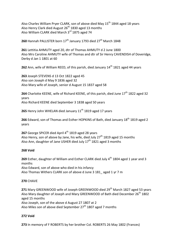Also Charles William Pryer CLARK, son of above died May 15<sup>th</sup> 1844 aged 18 years Also Henry Clark died August  $26<sup>th</sup> 1830$  aged 13 months Also William CLARK died March 3rd 1875 aged 74

**260** Hannah PALLISTER born 17<sup>th</sup> January 1793 died 27<sup>th</sup> March 1848

**261** Lettitia AHMUTY aged 20, dtr of Thomas AHMUTY d 2 June 1800 Also Mrs Caroline AHMUTY wife of Thomas and dtr of Sir Henry CAVENDISH of Doveridge, Derby d Jan 1 1801 at 60

**262** Ann, wife of William REED, of this parish, died January 14<sup>th</sup> 1821 aged 44 years

**263** Joseph STEVENS d 13 Oct 1822 aged 45 Also son Joseph d May 9 1836 aged 32 Also Mary wife of Joseph, senior d August 15 1837 aged 58

**264** Charlotte KEENE, wife of Richard KEENE, of this parish, died June 17<sup>th</sup> 1822 aged 32 years Also Richard KEENE died September 3 1838 aged 50 years

**265** Henry John WHELAN died January 11<sup>th</sup> 1819 aged 17 years

**266** Edward, son of Thomas and Esther HOPKINS of Bath, died January 18<sup>th</sup> 1819 aged 2 years

267 George SPICER died April 4<sup>th</sup> 1819 aged 28 years Also Henry, son of above by Jane, his wife, died July 27<sup>th</sup> 1819 aged 15 months Also Ann, daughter of Jane USHER died July  $17<sup>th</sup> 1821$  aged 3 months

## **268 Void**

**269** Esther, daughter of William and Esther CLARK died July 4<sup>th</sup> 1804 aged 1 year and 3 months Also Edward, son of above who died in his infancy Also Thomas Withers CLARK son of above d June 3 181\_ aged 1 yr 7 m

## **270** CHAVE

**271** Mary GREENWOOD wife of Joseph GREENWOOD died 29<sup>th</sup> March 1827 aged 53 years Also Mary daughter of Joseph and Mary GREENWOOD of Bath died December 26<sup>th</sup> 1802 aged 15 months Also Joseph, son of the above d August 27 1807 at 2 Also Miles son of above died September 27<sup>th</sup> 1807 aged 7 months

## **272 Void**

**273** In memory of F ROBERTS by her brother Col. ROBERTS 26 May 1802 (Frances)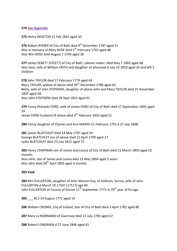**274 [See Appendix](#page-62-0)**

**275** Henry NEWTON 21 Feb 1801 aged 50

**276** Robert RYMER of City of Bath died 9<sup>th</sup> December 1787 aged 51 Also in memory of Mary ROSE died 5<sup>th</sup> February 1792 aged 48 Also Wm ROSE died August 1 1794 aged 36

**277** James SEBET? (STEET?) of City of Bath, cabinet maker, died May 7 1803 aged 48 Also Jane, wife of William ERITH and daughter of aforesaid d July 14 1810 aged 24 and left 2 children

**278** John TAYLOR died 17 February 1779 aged 64 Mary TAYLOR, widow of above died 30<sup>th</sup> December 1786 aged 63 Betty, wife of John STEPHENS, daughter of above John and Mary TAYLOR died 25 November 1807 aged 58 Also John STEPHENS died 28 Sept 1821 aged 61

**279** Fanny Richards FORD, wife of James FORD of City of Bath died 17 September 1805 aged 24 James FORD husband of above died 4<sup>th</sup> February 1826 aged 51

**280** Fanny daughter of Charles and Ann MARSH 21 February 1791 d 27 July 1808

**281** James BLATCHLEY died 14 May 1797 aged 54 George BLATCHLEY son of above died 21 April 1799 aged 27 Lydia BLATCHLEY died 23 July 1812 aged 72

**282** Henry CHAPMAN son of James and Louisa of City of Bath died 21 March 1803 aged 10 months Also John, son of James and Louisa died 13 May 1804 aged 5 years Also John died  $28<sup>th</sup>$  April 1805 aged 4 months

#### **283 Void**

**284** Mrs FULLERTON, daughter of John Weston Esq, of Ockham, Surrey, wife of John FULLERTON d March 19 1750? (1751?) age 49 John FULLERTON of County of Dorset  $11<sup>th</sup>$  September 1771 in 79<sup>th</sup> year of his age

**285** M.S 14 August 1772 aged 14

**286** William CROMIE, Esq of Ireland, late of City of Bath died 3 April 1782 aged 80

**287** Mary Le NORMAND of Guernsey died 15 July 1783 aged 67

**288** Robert LONGMAN d 27 June 1846 aged 41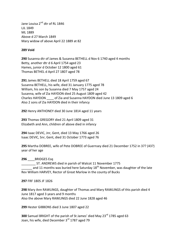Jane Louisa 2<sup>nd</sup> dtr of RL 1846 LJL 1849 ML 1889 Above d 27 March 1849 Mary widow of above April 22 1889 at 82

## **289 Void**

**290** Susanna dtr of James & Susanna BETHELL d Nov 6 1740 aged 4 months Betty, another dtr d 6 April 1754 aged 23 Hames, junior d October 12 1800 aged 61 Thomas BETHEL d April 27 1807 aged 78

**291** James BETHELL died 18 April 1759 aged 67 Susanna BETHELL, his wife, died 31 January 1775 aged 78 William, his son by Susanna died 7 May 1757 aged 24 Susanna, wife of Zia HAYDON died 25 August 1809 aged 42 Charles HAYDON \_\_\_\_ of Zia and Susanna HAYDON died June 13 1809 aged 6 Also 2 sons of Zia HAYDON died in their infancy

**292** Henry ANTHONEY died 30 June 1814 aged 11 years

**293** Thomas GREGORY died 21 April 1809 aged 31 Elizabeth and Ann, children of above died in infancy

**294** Isaac DEVIC, Jnr, Gent, died 13 May 1766 aged 26 Isaac DEVIC, Snr, Gent, died 31 October 1773 aged 76

**295** Martha DOBREE, wife of Pete DOBREE of Guernsey died 21 December 1752 in 37? (43?) year of her age

## 296 BRIDGES Esq

ST. ANDREWS died in parish of Walcot 11 November 1775 and 11 months was buried here Saturday 18<sup>th</sup> November, was daughter of the late Rev William HARVEY, Rector of Great Marlow in the county of Bucks

**297** FRF 1805 JF 1826

**298** Mary Ann RAWLINGS, daughter of Thomas and Mary RAWLINGS of this parish died 4 June 1817 aged 3 years and 9 months Also the above Mary RAWLINGS died 22 June 1828 aged 46

**299** Hester GIBBONS died 3 June 1807 aged 22

**300** Samuel BRIGHT of the parish of St James' died May 23<sup>rd</sup> 1785 aged 63 Joan, his wife, died December 3<sup>rd</sup> 1787 aged 79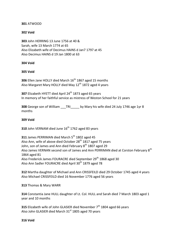## **301** ATWOOD

## **302 Void**

**303** John HERRING 13 June 1756 at 40 & Sarah, wife 13 March 1774 at 65 Also Elizabeth wife of Decimus HAINS d Jan7 1797 at 45 Also Decimus HAINS d 19 Jan 1800 at 63

## **304 Void**

## **305 Void**

**306** Ellen Jane HOLLY died March 16<sup>th</sup> 1867 aged 15 months Also Margaret Mary HOLLY died May 12<sup>th</sup> 1872 aged 4 years

**307** Elizabeth HYETT died April 24<sup>th</sup> 1873 aged 65 years In memory of her faithful service as mistress of Weston School for 21 years

**308** George son of William TRI by Mary his wife died 24 July 1746 age 1yr 8 months

## **309 Void**

**310** John VERNAM died June 16<sup>th</sup> 1762 aged 83 years

**311** James PERRIMAN died March 5<sup>th</sup> 1802 aged 45 Also Ann, wife of above died October 28<sup>th</sup> 1817 aged 75 years John, son of James and Ann died February 8<sup>th</sup> 1807 aged 29 Also James VERNAN second son of James and Ann PERRIMAN died at Corston February 8<sup>th</sup> 1864 aged 81 Also Frederick James FOURACRE died September 29<sup>th</sup> 1868 aged 30 Also Ann Sadler FOURACRE died April 30th 1879 aged 78

**312** Martha daughter of Michael and Ann CRISSFEILD died 29 October 1745 aged 4 years Also Michael CRISSFEILD died 16 November 1776 aged 56 years

**313** Thomas & Mary WARR

**314** Constantia Jane HULL daughter of Lt. Col. HULL and Sarah died 7 March 1803 aged 1 year and 10 months

**315** Elizabeth wife of John GLASIER died November 7<sup>th</sup> 1804 aged 66 years Also John GLASIER died March  $31<sup>st</sup>$  1805 aged 70 years

**316 Void**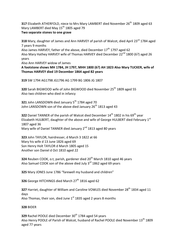**317** Elizabeth ATHERFOLD, niece to Mrs Mary LAMBERT died November 26<sup>th</sup> 1809 aged 63 Mary LAMBERT died May 15<sup>th</sup> 1805 aged 79 **Two separate stones to one grave** 

**318** Mary, daughter of James and Ann HARVEY of parish of Walcot, died April 23<sup>rd</sup> 1784 aged 7 years 9 months Also James HARVEY, father of the above, died December 17<sup>th</sup> 1797 aged 62 Also Mary Hathey HARVEY wife of Thomas HARVEY died December 22<sup>nd</sup> 1800 (6?) aged 26 years

Also Ann HARVEY widow of James

**A footstone shows MH 1784, JH 1797, MHH 1800 (6?) AH 1823 Also Mary TUCKER, wife of Thomas HARVEY died 19 December 1864 aged 82 years**

**319** SW 1794 AG1798 JG1796 AG 1799 BG 1806 JG 1807

**320** Sarah BIGWOOD wife of John BIGWOOD died November 25<sup>th</sup> 1809 aged 55 Also two children who died in infancy

**321** John LANSDOWN died January 5<sup>th</sup> 1784 aged 70 John LANSDOWN son of the above died January  $26<sup>th</sup>$  1813 aged 43

**322** Daniel TANNER of the parish of Walcot died December 14<sup>th</sup> 1802 in his 69<sup>th</sup> year Elizabeth HULBERT, daughter of the above and wife of George HULBERT died February 1st 1807 aged 36 Mary wife of Daniel TANNER died January 2<sup>nd</sup> 1813 aged 80 years

**323** John TAYLOR, hairdresser, d March 3 1822 at 66 Mary his wife d 13 June 1826 aged 69 Son Henry Holt TAYLOR d March 1805 aged 15 Another son Daniel d Oct 1810 aged 22

**324** Reuben COOK, o.t, parish, gardener died 20<sup>th</sup> March 1810 aged 46 years Also Samuel COOK son of the above died July 3<sup>rd</sup> 1862 aged 69 years

**325** Mary JONES June 1786 "farewell my husband and children"

**326** George HITCHINGS died March 27<sup>th</sup> 1816 aged 62

**327** Harriet, daughter of William and Caroline VOWLES died November 28<sup>th</sup> 1834 aged 11 days Also Thomas, their son, died June  $1<sup>st</sup>$  1835 aged 2 years 8 months

## **328** BIDER

**329** Rachel POOLE died December 30<sup>th</sup> 1784 aged 54 years Also Henry POOLE of Parish of Walcot, husband of Rachel POOLE died November 13<sup>th</sup> 1809 aged 77 years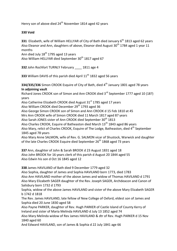Henry son of above died 24<sup>th</sup> November 1814 aged 42 years

## **330 Void**

**331** Elizabeth, wife of William HELLYAR of City of Bath died January 6<sup>th</sup> 1813 aged 62 years Also Eleanor and Ann, daughters of above, Eleanor died August 30<sup>th</sup> 1784 aged 1 year 11 months

Ann died July  $18<sup>th</sup>$  1795 aged 13 years

Also William HELLYAR died September 30<sup>th</sup> 1817 aged 67

**332** John Rochfort TURNLY February \_\_\_\_ 1811 age 4

**333** William DAVIS of this parish died April 11<sup>th</sup> 1832 aged 56 years

**334/335/336** Simon CROOK Esquire of City of Bath, died 4<sup>th</sup> January 1801 aged 78 years **In adjoining vault**

Richard Jones CROOK son of Simon and Ann CROOK died 3<sup>rd</sup> September 1777 aged 10 (18?) years

Also Catherine Elizabeth CROOK died August 31<sup>st</sup> 1785 aged 17 years

Also William CROOK died December 29<sup>th</sup> 1793 aged 36

Also George Simon CROOK son of Simon and Ann CROOK d 15 Feb 1810 at 45

Mrs Ann CROOK wife of Simon CROOK died 11 March 1817 aged 87 years

Also Sarah JONES sister of Ann CROOK died September 30<sup>th</sup> 1813

Also Charles CROOK, Esquire of Batheaston died March  $13<sup>th</sup>$  1843 aged 86 years

Also Mary, relict of Charles CROOK, Esquire of The Lodge, Batheaston, died 4<sup>th</sup> September 1845 aged 78 years

Also Mary Anne SALMON, wife of Rev. G. SALMON vicar of Shustock, Warwick and daughter of the late Charles CROOK Esquire died September 26<sup>th</sup> 1868 aged 73 years

**337** Ann, daughter of John & Sarah BROOK d 23 August 1831 aged 18 Also John BROOK for 16 years clerk of this parish d August 20 1844 aged 55 Also Edwin his son d Oct 16 1845 aged 12

**338** James HAVILAND of Bath died 9 December 1779 aged 32

Also Sophia, daughter of James and Sophia HAVILAND born 1773, died 1783 Also Ann HAVILAND mother of the above James and widow of Thomas HAVILAND d 1791 Also Mary Elizabeth SAGER daughter of the Rev. Joseph SAGER, Archdeacon and Canon of Salisbury born 1732 d 1793

Sophia, widow of the above James HAVILAND and sister of the above Mary Elizabeth SAGER b 1742 d 1818

The Rev. James HAVILAND, late fellow of New College of Oxford, eldest son of James and Sophia died 20 June 1830 aged 58

Also Payne PARKER, daughter of Rev. Hugh PARKER of Castle Island of County Kerry of Ireland and sister of Maria Melinda HAVILAND d July 13 1852 aged 74

Also Mary Melinda widow of Rev James HAVILAND & dtr of Rev. Hugh PARKER d 15 Nov 1840 aged 60

And Edward HAVILAND, son of James & Sophia d 22 July 1841 age 66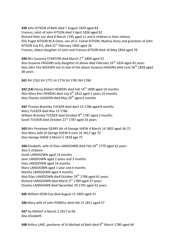**339** John KITSON of Bath died 7 August 1829 aged 83 Frances, relict of John KITSON died 3 April 1836 aged 82 Richard their son died 8 March 1795 aged 11 and 6 children in their infancy Ellis Puget KITSON M.A Oxon, son of Lt. Colnel KITSON, Madras Army and grandson of John KITSON Esq R.E, died  $21<sup>st</sup>$  February 1840 aged 26 Frances, eldest daughter of John and Frances KITSON died 16 May 1856 aged 78

**340** Mrs Susanna STANTON died March 2<sup>nd</sup> 1809 aged 55 Also Susanna HIGGINS only daughter of above died February 16<sup>th</sup> 1824 aged 45 years Also John Cha WEAVER son-in-law of the above Susanna HIGGINS died June 26<sup>th</sup> 1828 aged 38 years

**341** RH 1762 EH 1771 JH 1774 EH 1781 NH 1784

<span id="page-43-0"></span>**342 (14)** Henry Robert HEMERS died Feb 14<sup>th</sup> 1809 aged 10 months Also Mary Ann HEMERS died July 4<sup>th</sup> 1812 aged 2 years 10 months Also Charles LEADION died May  $29<sup>th</sup>$  aged 6 months

**342** Thomas Bromley TUCKER died April 23 1786 aged 8 months Mary TUCKER died Nov 15 1786 William Bromley TUCKER died October 8<sup>th</sup> 1787 aged 3 months Sarah TUCKER died October 21st 1787 aged 33 years

**343** Mrs Penelope GEARY dtr of George SHEW d March 14 1802 aged 36 (?) Also Mary wife of George SHEW d June 16 1817 age 72 Also George SHEW d March 5 1818 age 75

**344** Elizabeth, wife of Elias LANSDOWN died Feb 14<sup>th</sup> 1770 aged 42 years Also 5 children Sarah LANSDOWN aged 14 months Jane LANSDOWN aged 2 years and 3 months Elias LANSDOWN aged 14 months Mary LANSDOWN aged 1 year and 4 months Martha LANSDOWN aged 4 months Also Elias LANSDOWN died October 29<sup>th</sup> 1788 aged 61 years Richard LANSDOWN died March 3rd 1789 aged 37 years Charles LANSDOWN died December 29 1791 aged 42 years

**345** William KEAN Esq died August 15 1803 aged 31

**346** Mary wife of John POWELL died Feb 27 1811 aged 57

**347** Hy KNIGHT d March 2 1817 at 69 Also Elizabeth

**348** Arthur LAKE, poulterer of St Michael of Bath died 9<sup>th</sup> March 1780 aged 44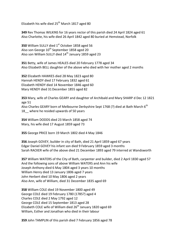Elizabeth his wife died  $25<sup>th</sup>$  March 1817 aged 80

**349** Rev Thomas WILKINS for 16 years rector of this parish died 24 April 1824 aged 61 Also Charlotte, his wife died 26 April 1842 aged 80 buried at Hemstead, Norfolk

**350** William SULLY died 1<sup>st</sup> October 1858 aged 56 Also son George  $10^{th}$  September 1858 aged 20 Also son William SULLY died 14<sup>th</sup> January 1859 aged 23

**351** Betty, wife of James HEALES died 20 February 1778 aged 34 Also Elizabeth BELL daughter of the above who died with her mother aged 2 months

**352** Elizabeth HAWKES died 28 May 1823 aged 80 Hannah HENDY died 17 February 1832 aged 61 Elizabeth HENDY died 14 November 1846 aged 60 Mary HENDY died 31December 1855 aged 82

**353** Mary, wife of Charles GEARY and daughter of Archibald and Mary SHARP d Dec 12 1821 age 51 Also Charles GEARY born of Melbourne Derbyshire Sept 1768 (?) died at Bath March 6<sup>th</sup> 18 where he resided upwards of 50 years

**354** William DODDS died 23 March 1858 aged 74 Mary, his wife died 17 August 1859 aged 73

**355** George PRICE born 19 March 1802 died 4 May 1846

**356** Joseph GOVEY, builder in city of Bath, died 21 April 1859 aged 67 years Edgar Daniel GOVEY his infant son died 9 February 1859 aged 3 months Sarah RACKER wife of the above died 21 December 1893 aged 79 interred at Wandsworth

**357** William WATERS of the City of Bath, carpenter and builder, died 2 April 1830 aged 57 And the following sons of above William WATERS and Ann his wife Joseph Anthony died 6 May 1804 aged 3 years 10 months William Henry died 13 January 1806 aged 7 years John Herbert died 10 May 1806 aged 2 years Also Ann, wife of William, died 31 December 1835 aged 69

**358** William COLE died 19 November 1800 aged 49 George COLE died 19 February 1780 (1785?) aged 4 Charles COLE died 2 May 1792 aged 12 George COLE died 15 September 1813 aged 28 Elizabeth COLE wife of William died  $26<sup>th</sup>$  January 1820 aged 69 William, Esther and Jonathan who died in their labour

**359** John TAMPLIN of this parish died 7 February 1856 aged 78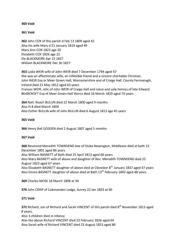## **360 Void**

## **361 Void**

**362** John COX of this parish d Feb 13 1809 aged 42 Also his wife Mary d 21 January 1819 aged 49 Mary Ann COX 1823 age 20 Elizabeth COX 1826 age 22 Ele BLACKMORE Apr 22 1827 William BLACKMORE Dec 30 1827

**363** Lydia WEIR wife of John WEIR died 7 December 1794 aged 47 She was an affectionate wife, an inflexible friend and a sincere charitable Christian. John WEIR Esq or Meer Green Hall, Worcestershire and of Craige Hall, County Fermanagh, Ireland died 21 May 1812 aged 63 years Frances WEIR, relic of John WEIR of Craige Hall and niece and sole heiress of late Edward BEARCROFT Esq of Meer Green Hall Worcs died 16 March 1820 aged 70 years

**364** Natl. Roach BULLIN died 22 March 1800 aged 9 months Also H.B died March 1804 Also Esther BULLIN wife of John BULLIN died 6 August 1813 age 45 years

## **365 Void**

**366** Henry Ball GOSDEN died 2 August 1807 aged 5 months

## **367 Void**

**368** Reverend Meredith TOWNSEND late of Stoke Newington, Middlesex died at bath 13 December 1801 aged 86 years

Also William BASNETT of Bath died 25 April 1813 aged 66 years

Also Mary BASNETT wife of above and daughter of Rev. Meredith TOWNSEND died 25 August 1823 aged 67 years

Also Elizabeth BASNETT daughter of above died at Clevedon 8th January 1837 aged 47 years Also Emma BASNETT daughter of above died at Bath  $13<sup>th</sup>$  February 1842 aged 48 years

**369** Charles MOSE 18 March 1808 at 30

**370** John CRISP of Cobmanden Lodge, Surrey 22 Jan 1803 at 60

## **371 Void**

**372** Richard, son of Richard and Sarah VINCENT of this parish died 8<sup>th</sup> November 1813 aged 8 years,

Also 3 children died in infancy

Also the above Richard VINCENT died 23 February 1826 aged 64 Also Sarah wife of Richard VINCENT died 23 August 1853 aged 86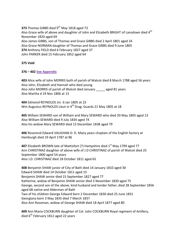**373** Thomas GIBBS died 9<sup>th</sup> May 1818 aged 73 Also Grace wife of above and daughter of John and Elizabeth BRIGHT of Lansdown died 4<sup>th</sup> November 1820 aged 69 Also James GIBBS, son of Thomas and Grace GIBBS died 2 April 1801 aged 24 Also Grace NORMAN daughter of Thomas and Grace GIBBS died 9 June 1805 **374** Anthony FIELD died 6 February 1837 aged 37 John PARKER died 15 February 1852 aged 64

**375 Void**

## **376 – 402 [See Appendix](#page-62-1)**

**403** Alice wife of John MORRIS both of parish of Walcot died 8 March 1788 aged 56 years Also John, Elizabeth and Hannah who died young Also John MORRIS of parish of Walcot died January \_\_\_\_\_ aged 81 years Also Martha d 19 Nov 1806 at 13

**404** Edmond REYNOLDS Jnr. 6 Jan 1805 at 23 Wm Augustus REYNOLDS Lieut in 4<sup>th</sup> Drag. Guards 21 May 1805 at 18

**405** William SEWARD son of William and Mary SEWARD who died 20 May 1805 aged 13 Also William SEWARD died 9 July 1834 aged 74 Also his widow Mary SEWARD died 13 December 1838 aged 79

**406** Reverend Edward VAUGHAN D. D. Many years chaplain of the English factory at Hamburgh died 19 April 1787 at 86

**407** Elizabeth BROWN late of Mattisfort (?) Hampshire died 1<sup>st</sup> May 1799 aged 77 Ann CHRISTINAZ daughter of above wife of J.D CHRISTINAZ of parish of Walcot died 25 September 1800 aged 54 years Also J.D. CHRISTINAZ died 18 October 1811 aged 65

**408** Benjamin SHAW junior of City of Bath died 14 January 1810 aged 30 Edward SHAW died 14 October 1811 aged 15 Benjamin SHAW senior died 15 September 1827 aged 77 Katherine, widow of Benjamin SHAW senior died 5 November 1830 aged 75 George, second son of the above, kind husband and tender father, died 28 September 1856 aged 68 native and Alderman of Bath Two of his children George Edward born 2 December 1830 died 25 June 1831 Georgiana born 3 May 1835 died 7 March 1837 Also Ann Rosoman, widow of George SHAW died 18 April 1877 aged 80

**409** Ann Maria COCKBURN daughter of Col. John COCKBURN Royal regiment of Artillery, died  $6<sup>th</sup>$  February 1812 aged 22 years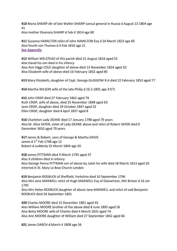**410** Maria SHAIRP dtr of late Walter SHAIRP consul general in Russia d August 13 1804 age 41 Also mother Eleanora SHAIRP d Feb 4 1814 age 80

**411** Susanna HAMILTON relict of John HAMILTON Esq d 24 March 1823 age 69 Also fourth son Thomas d 4 Feb 1810 age 21 **[See Appendix](#page-63-0)**

**412** William WELSTEAD of this parish died 21 August 1816 aged 55 Also David his son died in his infancy Also Ann Higgs COLE daughter of above died 13 November 1824 aged 32 Also Elizabeth wife of above died 16 February 1832 aged 85

**413** Mary Elizabeth, daughter of Capt. George GLASGOW R.A died 22 February 1853 aged 77

**414** Martha WILSON wife of the late Philip d 16.2.1801 age 37(?)

**415** John CRISP died 27 February 1862 aged 79 Ruth CRISP, wife of above, died 25 November 1848 aged 63 Jane CRISP, daughter died 29 October 1847 aged 32 Ellen CRISP, daughter died 4 April 1837 aged 8

**416** Charleton Lady DEANE died 17 January 1798 aged 79 years Also M. Alice SAYER, sister of Lady DEANE above and relict of Robert SAYER died 9 December 1810 aged 79 years

**417** James & Robert, sons of George & Martha DAVIS James d  $1<sup>st</sup>$  Feb 1798 age 12 Robert d suddenly 25 March 1804 age 20

**418** James PITTMAN died 3 March 1795 aged 37 Also 3 children died in infancy Also George Penny PITTMAN son of above by Juliet his wife died 18 March 1813 aged 20 interred in St. Mary Le Bow Church London

**419** Benjamin ROEBUCK of Sheffield, Yorkshire died 10 September 1796 Also Mrs Jane MAXWELL relict of Hugh MAXWELL Esq of Dalswinton, Nth Britain d 16 Jan 1795

Also Mrs Helen ROEBUCK daughter of above Jane MAXWELL and relict of said Benjamin ROEBUCK died 24 September 1801

**420** Charles MOORE died 15 December 1801 aged 45 Also William MOORE brother of the above died 8 June 1805 aged 56 Also Betty MOORE wife of Charles died 4 March 1831 aged 74 Also Ann MOORE daughter of William died 27 September 1842 aged 66

**421** James DARCH d March 4 1808 age 56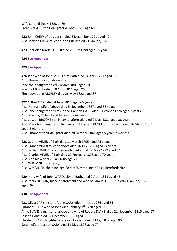Wife Sarah d Dec 4 1828 at 79 Sarah ANGELL, their daughter d Nov 8 1853 age 60

**422** John CREW of this parish died 3 December 1791 aged 49 Also Martha CREW relict of John CREW died 11 January 1819

**423** Charlotte Maria FULLER died 29 July 1798 aged 25 years

**424 [See Appendix](#page-63-1)**

## **425 [See Appendix](#page-64-0)**

**426** Jane wife of John MORLEY of Bath died 14 April 1791 aged 32 Also Thomas, son of above infant Jane their daughter died 2 March 1805 aged 19 Martha MORLEY died 10 April 1814 aged 25 The above John MORLEY died 26 May 1822 aged 67

**427** Arthur GANE died 4 June 1814 aged 65 years Also Hannah wife of above died 5 November 1827 aged 68 years Also Jane, daughter of Arthur and Hannah GANE died 6 October 1776 aged 3 years Also Martha, Richard and Jane who died young Also Joseph BROOKS son in law of aforesaid died 9 May 1821 aged 38 years Also Mary Ann daughter of Richard and Elizabeth BENCE of this parish died 26 March 1833 aged 8 months Also Elizabeth their daughter died 20 October 1841 aged 5 years 7 months

**428** Gabriel VINER of Bath died 11 March 1795 aged 75 years Also France VINER relict of above died 16 July 1798 aged 74 years Also William BAILEY of Portsmouth died at Bath 4 May 1792 aged 64 Also Charles VINER of Bath died 22 February 1823 aged 70 years Also Ann his wife d 26 Jan 1805 age 41 And W.B. VINER in infancy Also Wm VINER, their son age 28 d at Weston, near Ross, Herefordshire

**429** Mary wife of John WARD, city of Bath, died 2 April 1811 aged 45 Also Mary DURBIN, niece of aforesaid and wife of Samuel DURBIN died 21 January 1820 aged 26

## **430 [See Appendix](#page-64-1)**

**431** Olivia CARY, sister of John CARY, died \_\_ May 1766 aged 61 Elizabeth CARY wife of John died January  $1<sup>st</sup>$  1770 aged 57 Anne EVANS daughter of above and wife of Robert EVANS, died 21 November 1815 aged 67 Joseph CARY died 12 December 1825 aged 86 Elizabeth CARY daughter of above Elizabeth died 3 May 1827 aged 90 Sarah wife of Joseph CARY died 11 May 1828 aged 79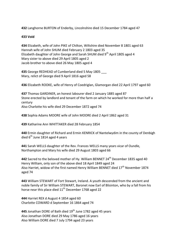**432** Langhorne BURTON of Enderby, Lincolnshire died 15 December 1784 aged 47

## **433 Void**

**434** Elizabeth, wife of John PIKE of Chilton, Wiltshire died November 8 1801 aged 63 Hannah wife of John SHUM died February 2 1803 aged 35 Elizabeth daughter of John George and Sarah SHUM died  $9<sup>th</sup>$  April 1805 aged 4 Mary sister to above died 29 April 1805 aged 2 Jacob brother to above died 26 May 1805 aged 4

**435** George REDHEAD of Cumberland died 5 May 1805 \_\_\_ Mary, relict of George died 9 April 1816 aged 58

**436** Elizabeth ROOKE, wife of Henry of Coedriglan, Glamorgan died 22 April 1797 aged 60

**437** Thomas GARDINER, an honest labourer died 2 January 1885 aged 87 Stone erected by landlord and tenant of the farm on which he worked for more than half a century Also Charlotte his wife died 29 December 1872 aged 74

**438** Sophia Adams MOORE wife of John MOORE died 2 April 1862 aged 31

**439** Katharine Ann WHITTAKER died 28 February 1854

**440** Ermin daughter of Richard and Ermin KENRICK of Nantelwydim in the county of Denbigh died  $6<sup>th</sup>$  June 1814 aged 4 years

**441** Sarah WELLS daughter of the Rev. Frances WELLS many years vicar of Oundle, Northampton and Mary his wife died 29 August 1803 aged 66

**442** Sacred to the beloved mother of Hy. William BENNET 24<sup>th</sup> December 1835 aged 40 Henry William, only son of the above died 18 April 1849 aged 24 Also Harriet, widow of the first named Henry William BENNET died  $17<sup>th</sup>$  November 1874 aged 74

**443** William STEWART of Fort Stewart, Ireland. A youth descended from the ancient and noble family of Sir William STEWART, Baronet now Earl of Blisinton, who by a fall from his horse near this place died  $11<sup>th</sup>$  December 1768 aged 22

**444** Harriet REX d August 4 1854 aged 60 Charlotte COWARD d September 16 1864 aged 74

**445** Jonathan DORE of Bath died 19<sup>th</sup> June 1782 aged 45 years Also Jonathan DORE died 29 May 1786 aged 16 years Also William DORE died 7 July 1794 aged 23 years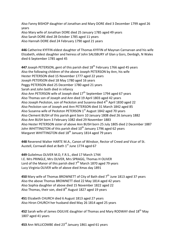Also Fanny BISHOP daughter of Jonathan and Mary DORE died 3 December 1799 aged 26 years Also Mary wife of Jonathan DORE died 25 January 1785 aged 49 years Also Sarah DORE died 28 October 1785 aged 11 years Also Hannah DORE died 24 February 1790 aged 21 years

**446** Catherine KYFFIN eldest daughter of Thomas KYFFIN of Maynan Carnarvan and his wife Elizabeth, eldest daughter and heiress of John SALISBURY of Glan y Gors, Denbigh, N Wales died 6 September 1785 aged 45

**447** Joseph PETERSON, gent of this parish died 18<sup>th</sup> February 1766 aged 45 years Also the following children of the above Joseph PETERSON by Ann, his wife Hester PETERSON died 15 November 1777 aged 22 years Joseph PETERSON died 18 May 1780 aged 16 years Peggy PETERSON died 25 December 1780 aged 21 years Sarah and John both died in infancy Also Ann PETERSON wife of Joseph died  $17<sup>th</sup>$  September 1794 aged 67 years Also Thomas son of Joseph and Ann died 19 April 1803 aged 42 years Also Joseph Peckston, son of Peckston and Susanna died 4<sup>th</sup> April 1830 aged 22 Also Peckston son of Joseph and Ann PETERSON died 31 March 1842 aged 85 Also Susanna wife of Peckston PETERSON  $1<sup>st</sup>$  August 1842 aged 70 years Also Clement BUSH of this parish gent born 10 January 1808 died 26 January 1882 Also Ann BUSH born 3 February 1082 died 29 November 1883 Also Hester PETERSON sister of above Ann BUSH born 25 July 1805 died 2 December 1887 John WHITTINGTON of this parish died  $10<sup>th</sup>$  January 1796 aged 62 years Margaret WHITTINGTON died 18<sup>th</sup> January 1814 aged 79 years

**448** Reverend Walter HARTE M.A., Canon of Windsor, Rector of Creed and Vicar of St. Austell, Cornwall died at Bath  $1<sup>st</sup>$  June 1774 aged 67

**449** Gulielmus OLIVER M.D, F.R.S., died 17 March 1744 I.E. Mrs PRINGLE, Mrs OLIVER, Mrs SPRAGG, Thomas H OLIVER Lord of the Manor of this parish died  $7<sup>th</sup>$  March 1870 aged 79 years Lucy Virginia OLIVER wife of above died Xmas day 1891

**450** Mary wife of Thomas BROWNETT of City of Bath died 7<sup>th</sup> June 1813 aged 37 years Also the above Thomas BROWNETT died 22 May 1814 aged 42 years Also Sophia daughter of above died 15 November 1822 aged 22 Also Thomas, their son, died  $8<sup>th</sup>$  August 1827 aged 19 years

**451** Elizabeth CHURCH died 6 August 1813 aged 27 years Also Hiron CHURCH her husband died May 26 1814 aged 25 years

452 Sarah wife of James OGILVIE daughter of Thomas and Mary RODWAY died 18<sup>th</sup> Mav 1807 aged 41 years

**453** Ann WILLICOMBE died 23rd January 1861 aged 61 years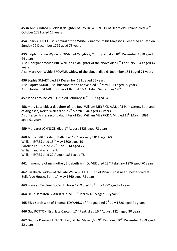453A Ann ATKINSON, eldest daughter of Rev Dr. ATKINSON of Headfield, Ireland died 28<sup>th</sup> October 1781 aged 17 years

**454** Philip AFFLECK Esq Admiral of the White Squadron of his Majesty's Fleet died at Bath on Sunday 22 December 1799 aged 73 years

**455** Ralph Browne Wylde BROWNE of Caughley, County of Salop 10<sup>th</sup> December 1810 aged 44 years

Also Georgiana Wylde BROWNE, third daughter of the above died 6<sup>th</sup> February 1843 aged 44 years

Also Mary Ann Wylde BROWNE, widow of the above, died 6 November 1814 aged 71 years

**456** Sophia SMART died 27 December 1811 aged 55 years Also Baptist SMART Esq, husband to the above died  $5<sup>th</sup>$  May 1813 aged 59 years Also Elizabeth SMART mother of Baptist SMART died September 18<sup>th</sup> \_\_\_\_\_\_\_\_\_

**457** Jane Caroline WESTON died February 16th 1862 aged 64

**458** Mary Lucy eldest daughter of late Rev. William MEYRICK A.M. of 5 Park Street, Bath and of Anglesea, North Wales died 23<sup>rd</sup> March 1846 aged 47 years Also Hester Anne, second daughter of Rev. William MEYRICK A.M. died 15<sup>th</sup> March 1891 aged 91 years

**459** Margaret JOHNSON died 1<sup>st</sup> August 1823 aged 73 years

**460** Jenny EYRES, City of Bath died 18<sup>th</sup> February 1811 aged 60 William EYRES died  $13^{th}$  May 1800 aged 19 Caroline EYRES died 26<sup>th</sup> June 1814 aged 24 William and Maria infants William EYRES died 22 August 1831 aged 78

461 In memory of my mother, Elizabeth Ann OLIVER died 22<sup>nd</sup> February 1876 aged 70 years

**462** Elizabeth, widow of the late William SELLER, Esq of Vicars Cross near Chester died at Belle Vue House, Bath,  $1<sup>st</sup>$  May 1860 aged 78 years

**463** Frances Caroline BOSWELL born 1759 died 28th July 1852 aged 93 years

464 Lieut Hamilton BLAIR R.N. died 10<sup>th</sup> March 1815 aged 21 years

**465** Eliza Sarah wife of Thomas EDWARDS of Antigua died 7<sup>th</sup> July 1826 aged 41 years

**466** Guy ROTTON, Esg, late Captain 17<sup>th</sup> Regt. died 16<sup>th</sup> August 1824 aged 30 years

467 George Danvers JENKINS, Esq, of Her Majesty's 69<sup>th</sup> Regt died 30<sup>th</sup> December 1859 aged 32 years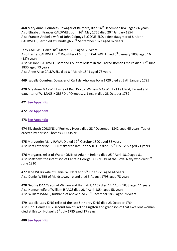**468** Mary Anne, Countess Dowager of Belmore, died 14<sup>th</sup> December 1841 aged 86 years Also Elizabeth Frances CALDWELL born 26th May 1766 died 20th January 1854 Also Frances Arabella wife of John Colpoys BLOOMFIELD, eldest daughter of Sir John CALDWELL, Bart died at Chudleigh  $26<sup>th</sup>$  September 1872 aged 82 years

Lady CALDWELL died  $18<sup>th</sup>$  March 1796 aged 39 years Also Harriet CALDWELL 2<sup>nd</sup> Daughter of Sir John CALDWELL died 5<sup>th</sup> January 1808 aged 16 (18?) years Also Sir John CALDWELL Bart and Count of Milam in the Sacred Roman Empire died  $17<sup>th</sup>$  June 1830 aged 73 years Also Anne Alice CALDWELL died 8<sup>th</sup> March 1841 aged 73 years

**469** Isabella Countess Dowager of Carlisle who was born 1720 died at Bath January 1795

**470** Mrs Anne MAXWELL wife of Rev. Doctor William MAXWELL of Falkland, Ireland and daughter of W. MASSINGBERD of Ormbesey, Lincoln died 28 October 1789

## **471 [See Appendix](#page-64-2)**

## **472 [See Appendix](#page-60-5)**

## **473 [See Appendix](#page-64-3)**

**474** Elizabeth COUSINS of Portway House died 28<sup>th</sup> December 1842 aged 65 years. Tablet erected by her son Thomas A COUSINS

475 Marguerite Mary RAVAUD died 19<sup>th</sup> October 1800 aged 83 years Also Mrs Katherine SHELLEY sister to late John SHELLEY died 15<sup>th</sup> July 1795 aged 71 years

476 Margaret, relict of Walter QUIN of Adair in Ireland died 25<sup>th</sup> April 1810 aged 81 Also Matthew, the infant son of Captain George ROBINSON of the Royal Navy who died  $9<sup>th</sup>$ June 1810

**477** Jane WEBB wife of Daniel WEBB died 15<sup>th</sup> June 1779 aged 44 years Also Daniel WEBB of Maidstown, Ireland died 3 August 1798 aged 78 years

**478** George ISAACS son of William and Hannah ISAACS died 14th April 1833 aged 11 years Also Hannah wife of William ISAACS died 28<sup>th</sup> April 1854 aged 58 years Also William ISAACS, husband of above died 29<sup>th</sup> December 1868 aged 76 years

**479** Isabella Lady KING relict of the late Sir Henry KING died 23 October 1764 Also Hon. Henry KING, second son of Earl of Kingston and grandson of that excellent woman died at Bristol, Hotwells  $6<sup>th</sup>$  July 1785 aged 17 years

## **480 [See Appendix](#page-64-4)**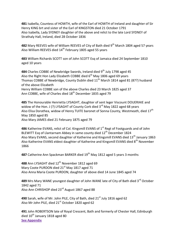**481** Isabella, Countess of HOWTH, wife of the Earl of HOWTH of Ireland and daughter of Sir Henry KING brt and sister of the Earl of KINGSTON died 21 October 1791 Also Isabella, Lady SYDNEY daughter of the above and relict to the late Lord SYDNEY of Strathaly Hall, Ireland, died 28 October 1836

482 Mary REEVES wife of William REEVES of City of Bath died 9<sup>th</sup> March 1804 aged 57 years Also William REEVES died 14<sup>th</sup> February 1805 aged 55 years

**483** William Richards SCOTT son of John SCOTT Esq of Jamaica died 24 September 1810 aged 10 years

**484** Charles COBBE of Newbridge Swords, Ireland died 9th July 1798 aged 45 Also the Right Hon Lady Elizabeth COBBE died  $6<sup>th</sup>$  May 1806 aged 69 years Thomas COBBE of Newbridge, County Dublin died 11<sup>th</sup> March 1814 aged 81 (87?) husband of the above Elizabeth Henry William COBBE son of the above Charles died 23 March 1825 aged 37 Ann COBBE, wife of Charles died 18<sup>th</sup> December 1835 aged 79

**485** The Honourable Henrietta LYSAGHT, daughter of sent leger Viscount DOUERIAIE and widow of the Hon. J (?) LYSAGHT of County Cork died  $3<sup>rd</sup>$  May 1822 aged 68 years Also Elisa Dorathea, widow of Henry TUITE baronet of Sonna County, Westmeath, died 17<sup>th</sup> May 1850 aged 85

Also Mary JAMES died 21 February 1875 aged 79

**486** Katherine EVANS, relict of Col. Kingsmill EVANS of 1<sup>st</sup> Regt of Footguards and of John BLEWITT Esq of Llantarnam Abbey in same county died 12<sup>th</sup> December 1824 Also Mary EVANS, second daughter of Katherine and Kingsmill EVANS died 13<sup>th</sup> January 1863 Also Katherine EVANS eldest daughter of Katherine and Kingsmill EVANS died  $8<sup>th</sup>$  November 1866

**487** Catherine Ann Spackman BARKER died 19<sup>th</sup> May 1812 aged 5 years 3 months

488 Ann LYSAGHT died 12<sup>th</sup> November 1812 aged 69 Mary Coote PURDON died  $21<sup>st</sup>$  May 1817 aged 71 Also Anna Maria Coote PURDON, daughter of above died 14 June 1845 aged 74

489 Mrs Mary WANE youngest daughter of John WANE late of City of Bath died 3<sup>rd</sup> October 1842 aged 71 Also Ann CHRISHOP died 23rd August 1867 aged 88

**490** Sarah, wife of Mr. John PILE, City of Bath, died 21<sup>st</sup> July 1816 aged 62 Also Mr John PILE, died 21<sup>st</sup> October 1820 aged 62

**491** John ROBERTSON late of Royal Crescent, Bath and formerly of Chester Hall, Edinburgh died  $10^{th}$  January 1818 aged 80 **[See Appendix](#page-64-5)**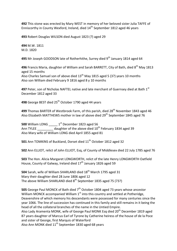**492** This stone was erected by Mary WEST in memory of her beloved sister Julia TAFFE of Enniscorthy in County Wexford, Ireland, died 14<sup>th</sup> September 1812 aged 46 years

**493** Robert Douglas WILSON died August 1823 (?) aged 29

**494** M.W. 1811 M.D. 1820

495 Mr Joseph GOODSON late of Rotherhithe, Surrey died 9<sup>th</sup> January 1814 aged 64

496 Francis Maria, daughter of William and Sarah BARRETT, City of Bath, died 8<sup>th</sup> May 1813 aged 15 months

Also Charles Samuel son of above died  $13<sup>th</sup>$  May 1815 aged 5 (3?) years 10 months Also son William died February 9 1816 aged 8 y 10 months

**497** Peter, son of Nicholas NAFTEL native and late merchant of Guernsey died at Bath 1<sup>st</sup> December 1812 aged 33

498 George BEST died 25<sup>th</sup> October 1790 aged 44 years

499 Thomas BARTER of Westbrook Farm, of this parish, died 28<sup>th</sup> November 1843 aged 46 Also Elizabeth MATTHEWS mother in law of above died  $29<sup>th</sup>$  September 1845 aged 76

**500** William LONG  $1^{st}$  December 1823 aged 56 Ann TYLEE daughter of the above died  $10^{th}$  February 1834 aged 39 Also Mary wife of William LONG died April 1855 aged 81

**501** Ann TOMKINS of Buckland, Dorset died 11<sup>th</sup> October 1812 aged 32

**502** Ann ELLIOT, relict of John ELLIOT, Esq, of County of Middlesex died 22 July 1785 aged 76

**503** The Hon. Alicia Margaret LONGWORTH, relict of the late Henry LONGWORTH Oatfield House, County of Galway, Ireland died  $17<sup>th</sup>$  January 1826 aged 59

**504** Sarah, wife of William SHARLAND died 18<sup>th</sup> March 1795 aged 31 Mary their daughter died 28 June 1806 aged 12 The above William SHARLAND died  $8^{th}$  September 1835 aged 75 (73?)

**505** George Paul MONCK of Bath died 7<sup>th</sup> October 1804 aged 73 years whose ancestor William MONCK accompanied William  $1<sup>st</sup>$  into this country and settled at Potheridge, Deavenshire of which memory his descendants were possessed for many centuries since the year 1066. The line of succession has continued in this family and still remains in it being the head of all the collateral branches of the name in the Untied Empire.

Also Lady Aramenta MONK, wife of George Paul MONK Esq died  $20<sup>th</sup>$  December 1819 aged 87 years daughter of Marcus Earl of Tyrone by Catherine heiress of the house of de la Poce and sister of George, first Marquis of Waterford

Also Ann MONK died  $11<sup>th</sup>$  September 1830 aged 68 years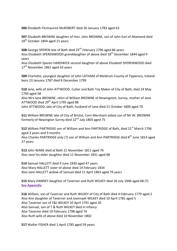**506** Elizabeth Fitzmaurice McROBERT died 26 January 1783 aged 63

**507** Elizabeth BROWNE daughter of Hon. John BROWNE, son of John Earl of Aliamond died 18<sup>th</sup> October 1804 aged 21 years

**508** George SPEREN late of Bath died 25<sup>th</sup> February 1796 aged 86 years Also Elizabeth SPERENWOOD granddaughter of above died 18<sup>th</sup> December 1844 aged 9 years

Also Elizabeth Speren HARDWICK second daughter of above Elizabeth SPERENWOOD died  $17<sup>th</sup>$  November 1861 aged 63 years

**509** Charlotte, youngest daughter of John LATHAM of Meldrum County of Tipperary, Ireland born 23 January 1787 died 8 December 1799

**510** Jane, wife of John ATTWOOD, Cutler and Bath Toy Maker of City of Bath, died 24 May 1794 aged 58

Also Mrs Jane BROWNE, relict of William BROWNE of Newingston, Surrey, mother of Jane ATTWOOD died  $29<sup>th</sup>$  April 1795 aged 88

John ATTWOOD, late of City of Bath, husband of Jane died 21 October 1800 aged 70

**511** William BROWNE late of City of Bristol, Corn Merchant eldest son of Mr W. BROWNE formerly of Newington Surrey died 22<sup>nd</sup> July 1803 aged 75

512 William PARTRIDGE son of William and Ann PARTRIDGE of Bath, died 21<sup>st</sup> March 1796 aged 3 years and 9 months

Also Charles PARTRIDGE only (?) son of William and Ann PARTRIDGE died 8<sup>th</sup> June 1814 aged 27 years

**513** John WANE died at Bath 21 November 1811 aged 76 Also Jane his elder daughter died 11 November 1831 aged 68

**514** Samuel HALLETT died 9 June 1830 aged 47 years Also Mary HALLETT sister of above died 14 February 1834 Also Jane HALLETT widow of Samuel died 11 April 1863 aged 79 years

**515** Mary HANNEY daughter of Taverner and Ruth WILKEY died 26 July 1846 aged 68 (?) **[See Appendix](#page-64-6)**

**516** William, son of Taverner and Ruth WILKEY of City of Bath died 4 February 1779 aged 2 Also Ann daughter of Taverner and Joannaah WILKEY died 10 April 1781 aged 5 Also Taverner son of T&J WILKEY 10 April 1791 aged 20 Also Samuel, son of T & Ruth WILKEY died in infancy Also Taverner died 19 February 1798 aged 74 Also Ruth wife of above died 10 November 1802

**517** Walter FISHER died 1 April 1785 aged 59 years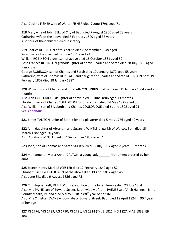Also Decima FISHER wife of Walter FISHER died 9 June 1796 aged 71

**518** Mary wife of John BELL of City of Bath died 7 August 1800 aged 28 years Catharine wife of the above died 8 February 1809 aged 33 years Also four of their children died in infancy

**519** Charles ROBINSON of this parish died 8 September 1849 aged 66 Sarah, wife of above died 27 June 1851 aged 74 William ROBINSON eldest son of above died 16 October 1861 aged 59 Rosa Frances ROBINSON granddaughter of above Charles and Sarah died 28 July 1868 aged 5 months

George ROBINSON son of Charles and Sarah died 10 January 1872 aged 55 years Catharine, wife of Thomas KERSLAKE and daughter of Charles and Sarah ROBINSON born 19 February 1809 died 18 January 1887

**520** William, son of Charles and Elizabeth COULDRIDGE of Bath died 11 January 1804 aged 7 months

Also Ann COULDRIDGE daughter of above died 30 June 1806 aged 13 months Elizabeth, wife of Charles COULDRIDGE of City of Bath died 14 May 1825 aged 53 Also William, son of Elizabeth and Charles COULDRIDGE died 6 June 1828 aged 21 **[See Appendix](#page-64-7)**

**521** James TANTON junior of Bath, tiler and plasterer died 5 May 1776 aged 40 years

**522** Ann, daughter of Abraham and Susanna WINTLE of parish of Walcot, Bath died 15 March 1782 aged 20 years Also Abraham WINTLE died 23<sup>rd</sup> September 1809 aged 77

**523** John, son of Thomas and Sarah SHERRY died 25 July 1784 aged 2 years 11 months

**524** Marianne (or Maria Anne) DALTON, a young lady \_\_\_\_\_\_ Monument erected by her aunt

**525** Joseph Henry Mark LEYCESTER died 12 February 1849 aged 52 Elizabeth Sill LEYCESTER relict of the above died 30 April 1852 aged 45 Also Jane SILL died 9 August 1856 aged 75

**526** Christopher Kelly BELLEW of Ireland, late of the Inner Temple died 23 July 1804 Also Mrs PAINE late of Edward Street, Bath, widow of John PAINE Esq of Arch Hall near Trim, County Meath, Ireland died 5 May 1818 in  $88<sup>th</sup>$  year of her life Also Mrs Christian EVANS widow late of Edward Street, Bath died 18 April 1824 in 90<sup>th</sup> year of her age

**527** JG 1776, MG 1789, RG 1790, JG 1791, AG 1814 (?), JB 1821, HG 1827, MAB 1833, EB 1841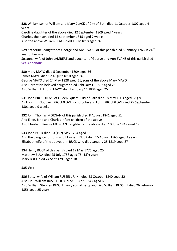**528** William son of William and Mary CLACK of City of Bath died 11 October 1807 aged 4 years Caroline daughter of the above died 12 September 1809 aged 4 years Charles, their son died 15 September 1815 aged 7 weeks Also the above William CLACK died 1 July 1818 aged 36

529 Katherine, daughter of George and Ann EVANS of this parish died 5 Januarv 1766 in 24<sup>th</sup> year of her age

Susanna, wife of John LAMBERT and daughter of George and Ann EVANS of this parish died **[See Appendix](#page-64-8)**

**530** Mary MAYO died 5 December 1809 aged 56 James MAYO died 12 August 1810 aged 36, George MAYO died 24 May 1828 aged 51; sons of the above Mary MAYO Also Harriet his beloved daughter died February 15 1833 aged 25 Also William Edmund MAYO died February 11 1834 aged 25

**531** John PROUDLOVE of Queen Square, City of Bath died 18 May 1803 aged 38 (?) As Thos Goodwin PROUDLOVE son of John and Edith PROUDLOVE died 25 September 1801 aged 9 weeks

**532** John Thomas MORGAN of this parish died 8 August 1841 aged 51 And Ellen, Jane and Charles infant children of the above Also Elizabeth Pearce MORGAN daughter of the above died 10 June 1847 aged 19

**533** John BUCK died 10 (19?) May 1784 aged 55 Ann the daughter of John and Elizabeth BUCK died 15 August 1765 aged 2 years Elizabeth wife of the above John BUCK who died January 25 1819 aged 87

**534** Henry BUCK of this parish died 19 May 1776 aged 25 Matthew BUCK died 25 July 1788 aged 75 (15?) years Mary BUCK died 24 Sept 1791 aged 18

## **535 Void**

**536** Betty, wife of William RUSSELL R. N., died 28 October 1840 aged 52 Also Lieu William RUSSELL R.N. died 15 April 1847 aged 63 Also William Stephen RUSSELL only son of Betty and Lieu William RUSSELL died 26 February 1856 aged 25 years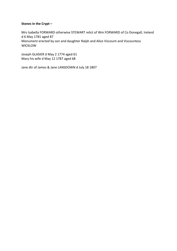## **Stones in the Crypt –**

Mrs Isabella FORWARD otherwise STEWART relict of Wm FORWARD of Co Donegall, Ireland d 6 May 1781 aged 87 Monument erected by son and daughter Ralph and Alice Viscount and Viscountess WICKLOW

Joseph GLASIER d May 2 1774 aged 61 Mary his wife d May 12 1787 aged 68

Jane dtr of James & Jane LANSDOWN d July 18 1807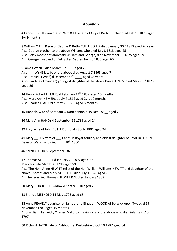# **Appendix**

<span id="page-59-0"></span>**4** Fanny BRIGHT daughter of Wm & Elizabeth of City of Bath, Butcher died Feb 13 1828 aged 1yr 9 months

<span id="page-59-1"></span>8 William CUTLER son of George & Betty CUTLER O.T.P died January 30<sup>th</sup> 1813 aged 26 years Also George brother to the above William, who died July 8 1813 aged 25 Also Betty mother of aforesaid William and George, died November 11 1825 aged 69 And George, husband of Betty died September 23 1835 aged 60

<span id="page-59-2"></span>**9** James WYNES died March 22 1861 aged 72 Also WYNES, wife of the above died August 7 1868 aged 7 Also (Daniel LEWIS?) d December  $6^{th}$  aged 65 years Also Caroline (Amanda?) youngest daughter of the above Daniel LEWIS, died Mav 25<sup>th</sup> 1873 aged 26

**14** Henry Robert HEMERS d February 14<sup>th</sup> 1809 aged 10 months Also Mary Ann HEMERS d July 4 1812 aged 2yrs 10 months Also Charles LEADION d May 29 1808 aged 6 months

<span id="page-59-3"></span>**15** Hannah, wife of Abraham CHUBB Senior, d 19 Dec 186\_\_ aged 72

<span id="page-59-4"></span>**20** Mary Ann HANDY d September 15 1789 aged 24

<span id="page-59-5"></span>**32** Lucy, wife of John BUTTER o.t.p. d 23 July 1801 aged 24

<span id="page-59-6"></span>**41** Mary FOY wife of Captn in Royal Artillery and eldest daughter of Revd Dr. LUKIN, Dean of Wells, who died  $30<sup>th</sup> 1800$ 

<span id="page-59-7"></span>**46** Sarah CLOUD 5 September 1828

<span id="page-59-8"></span>**47** Thomas STRETTELL d January 20 1807 aged 79 Mary his wife March 31 1796 aged 59 Also The Hon. Anne HEWITT relict of the Hon William Williams HEWITT and daughter of the above Thomas and Mary STRETTELL died July 1 1828 aged 70 And her son Lieu Thomas HEWITT R.N. died January 1808

<span id="page-59-9"></span>**50** Mary HOBHOUSE, widow d Sept 9 1810 aged 75

<span id="page-59-10"></span>**51** Francis METHOLD 14 May 1795 aged 65

<span id="page-59-11"></span>**58** Anna REAVELY daughter of Samuel and Elizabeth WOOD of Berwick upon Tweed d 19 November 1787 aged 15 months Also William, Fenwich, Charles, Vallotton, Irvin sons of the above who died infants in April 1797

<span id="page-59-12"></span>**60** Richard HAYNE late of Ashbourne, Derbyshire d Oct 10 1787 aged 64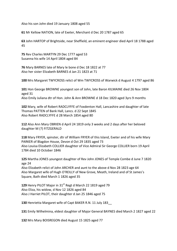Also his son John died 19 January 1808 aged 55

<span id="page-60-0"></span>**61** Mr Kellow NATION, late of Exeter, Merchant d Dec 20 1787 aged 65

<span id="page-60-1"></span>**63** John HARTOP of Brightside, near Sheffield, an eminent engineer died April 18 1788 aged 45

<span id="page-60-2"></span>**75** Rev Charles MARTYN 29 Dec 1777 aged 53 Susanna his wife 14 April 1804 aged 84

<span id="page-60-3"></span>**76** Mary BARNES late of Mary le bone d Dec 18 1822 at 77 Also her sister Elizabeth BARNES d Jan 21 1823 at 71

<span id="page-60-4"></span>**100** Mrs Margaret TWYCROSS relict of Wm TWYCROSS of Warwick d August 4 1797 aged 86

<span id="page-60-5"></span>**101** Hon George BROWNE youngest son of John, late Baron KILMAINE died 26 Nov 1804 aged 31

Also Emily Juliana dtr of Hon. John & Ann BROWNE d 18 Dec 1820 aged 3yrs 9 months

<span id="page-60-6"></span>**102** Mary, wife of Robert RADCLYFFE of Foxdenton Hall, Lancashire and daughter of late Thomas PATTEN of Bank Hall, Lancs. d 22 Sept 1845 Also Robert RADCLYFFE d 28 March 1854 aged 80

<span id="page-60-7"></span>**112** Also Ann Mary OBRIEN d April 24 1819 only 3 weeks and 2 days after her beloved daughter M (?) FITZGERALD

<span id="page-60-8"></span>**118** Mary FRYER, spinster, dtr of William FRYER of this Island, Exeter and of his wife Mary PARKER of Blagdon House, Devon d Oct 29 1835 aged 73 Also Louisa Elizabeth COLLIER daughter of Vice Admiral Sir George COLLIER born 19 April 1784 died 10 October 1846

<span id="page-60-9"></span>**125** Martha JONES youngest daughter of Rev John JONES of Temple Combe d June 7 1820 age 24

Also Elizabeth relict of John ARCHER and aunt to the above d Nov 28 1823 age 64 Also Margaret wife of Hugh O'REILLY of New Grove, Meath, Ireland and of St James's Square, Bath died March 1 1826 aged 35

<span id="page-60-10"></span>**129 Henry PILOT Major in 31<sup>st</sup> Regt d March 22 1819 aged 79** Also Eliza, his widow, d Nov 12 1826 aged 84 Also J Harriet PILOT, their daughter d Jan 25 1846 aged 75

<span id="page-60-11"></span>**130** Henrietta Margaret wife of Capt BAKER R.N. 11 July 183\_\_

<span id="page-60-12"></span>**131** Emily Wilhelmina, eldest daughter of Major General BAYNES died March 2 1827 aged 22

<span id="page-60-13"></span>**132** Mrs Mary BOISREGON died August 15 1825 aged 77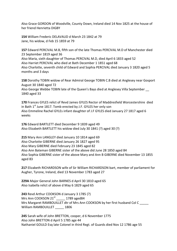Also Grace GORDON of Woodville, County Down, Ireland died 14 Nov 1825 at the house of her friend Henrietta DIGBY

<span id="page-61-0"></span>**154** William Frederic DELAVAUD d March 23 1842 at 79 Jane, his widow, d Feb 15 1859 at 79

<span id="page-61-1"></span>**157** Edward PERCIVAL M.B, fifth son of the late Thomas PERCIVAL M.D of Manchester died 23 September 1819 aged 36 Also Maria, sixth daughter of Thomas PERCIVAL M.D, died April 6 1833 aged 52 Also Harriet PERCIVAL who died at Bath December 1 1851 aged 68 Also Charlotte, seventh child of Edward and Sophia PERCIVAL died January 3 1820 aged 5 months and 3 days

<span id="page-61-2"></span>**158** Dorothy TOBIN widow of Rear Admiral George TOBIN C.B died at Anglesey near Gosport August 30 1840 aged 72 Also George Webbe TOBIN late of the Queen's Bays died at Anglesey Villa September \_\_ 1840 aged 33

<span id="page-61-3"></span>**170** Frances GYLES relict of Revd James GYLES Rector of Maddresfield Worcestershire died in Bath  $1<sup>st</sup>$  June 1817. Tomb erected by J.F. GYLES her only son

Also Emmeline Rachel GYLEs infant daughter of J.F GYLES died January 27 1817 aged 6 weeks

<span id="page-61-4"></span>**176** Edward BARTLETT died December 9 1839 aged 49 Also Elizabeth BARTLETT his widow died July 30 1841 (?) aged 30 (?)

<span id="page-61-5"></span>**215** Mary Ann LANGLEY died January 10 1814 aged 69 Also Charlotte GIBERNE died January 26 1827 aged 95 Also Mary GIBERNE died February 23 1845 aged 82 Also Ann Bateman GIBERNE sister of the above did June 28 1850 aged 84 Also Sophia GIBERNE sister of the above Mary and Ann B GIBERNE died November 13 1855 aged 83

<span id="page-61-6"></span>**217** Elizabeth RICHARDSON wife of Sir William RICHARDSON bart, member of parliament for Augher, Tyrone, Ireland, died 13 November 1783 aged 27

**229A** Major General John BARNES d April 30 1810 aged 65 Also Isabella relict of above d May 6 1829 aged 65

**243** Revd Arthur COOKSON d January 3 1785 (?) Mrs Ann COOKSON  $21^{st}$  1789 aged84 Mrs Margaret RAMBOUILLET dtr of Mrs Ann COOKSON by her first husband Col C William RAMBOUILLET 1806

**245** Sarah wife of John BRETTON, cooper, d 6 November 1775 Also John BRETTON d April 5 1785 age 44 Nathaniel GOULD Esq late Colonel in third Regt. of Guards died Nov 12 1786 age 55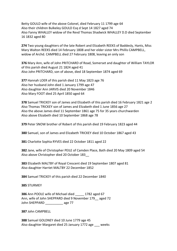Betty GOULD wife of the above Colonel, died February 11 1799 age 64 Also their children Bulkeley GOULD Esq d Sept 14 1827 aged 74 Also Fanny WHALLEY widow of the Revd Thomas Shadwick WHALLEY D.D died September 16 1832 aged 80

<span id="page-62-0"></span>**274** Two young daughters of the late Robert and Elizabeth REEKS of Baddesly, Hants, Miss Mary Walton REEKS died 14 February 1808 and her elder sister Mrs Phillis CAMPBELL, widow of Archd. CAMPBELL died 27 February 1808, leaving an only son

<span id="page-62-1"></span>**376** Mary Ann, wife of John PRITCHARD of Road, Somerset and daughter of William TAYLOR of this parish died August 21 1824 aged 41 Also John PRITCHARD, son of above, died 18 September 1874 aged 69

**377** Hannah LOER of this parish died 11 May 1823 age 76 Also her husband John died 1 January 1799 age 47 Also daughter Ann JARVIS died 20 November 1846 Also Mary FOOT died 25 April 1850 aged 64

**378** Samuel TRICKEY son of James and Elizabeth of this parish died 16 February 1821 age 2 Also Thomas TRICKEY son of James and Elizabeth died 1 June 1856 age 27 Also the above James died 11 September 1861 age 75 for 35 years churchwarden Also above Elizabeth died 10 September 1868 age 78

**379** Peter SNOW brother of Robert of this parish died 19 February 1823 aged 44

**380** Samuel, son of James and Elizabeth TRICKEY died 10 October 1867 aged 43

**381** Charlotte Sophia RYVES died 22 October 1811 aged 22

**382** Jane, wife of Christopher PEILE of Camden Place, Bath died 20 May 1809 aged 54 Also above Christopher died 20 October 183\_\_

**383** Elizabeth MALTBY of Royal Crescent died 19 September 1807 aged 81 Also daughter Harriet MALTBY 22 December 1852

**384** Samuel TRICKEY of this parish died 22 December 1840

**385** STURMEY

**386** Ann POOLE wife of Michael died 1782 aged 67 Ann, wife of John SHEPPARD died 9 November 179\_\_ aged 72 John SHEPPARD \_\_\_\_\_\_\_\_\_\_ age 77

**387** John CAMPBELL

**388** Samuel GOLDNEY died 10 June 1779 age 45 Also daughter Margaret died 25 January 1772 age weeks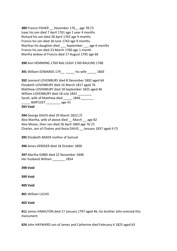**389** Francis FISHER December 176 age 78 (?) Isaac his son died 7 April 1761 age 1 year 4 months Richard his son died 28 April 1765 age 9 months Francis his son died 18 June 1763 age 9 months Marthas his daughter died \_\_\_ September \_\_\_ age 6 months Francis his son died 23 March 1760 age 1 month Martha widow of Francis died 17 August 1795 age 66

**390** Ann HEMMING 1760 Reb LEIGH 1760 RAULINS 1768

**391** William EDWARDS 179\_\_ \_\_\_\_\_ his wife \_\_\_\_\_ 1803

**392** Leonard LOVENBURY died 8 December 1802 aged 64 Elizabeth LOVENBURY died 16 March 1817 aged 76 Matthew LOVENBURY died 18 September 1825 aged 46 William LOVENBURY died 18 July 1832 Sarah, wife of Matthew died 1846 BARTLEET age 41 **393 Void**

**394** George DAVIS died 29 March 1822 (?) Also Martha, wife of above died March age 82 Also Moses, their son died 26 April 1869 age 76 (?) Charles, son of Chalres and Kezia DAVIS \_\_ January 1837 aged 4 (?)

**395** Elizabeth BAKER mother of Samuel

**396** Amos VEREKER died 18 October 1800

**397** Martha GIBBS died 22 November 1848 Her husband William \_\_\_\_\_\_\_ 1854

**398 Void**

**399 Void**

**400 Void**

**401** William LUCAS

**402 Void**

<span id="page-63-0"></span>**411** James HAMILTON died 17 January 1797 aged 46, his brother John erected this monument

<span id="page-63-1"></span>**424** John HAYWARD son of James and Catherine died February 6 1825 aged 63